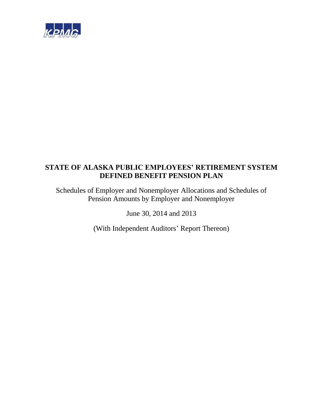

Schedules of Employer and Nonemployer Allocations and Schedules of Pension Amounts by Employer and Nonemployer

June 30, 2014 and 2013

(With Independent Auditors' Report Thereon)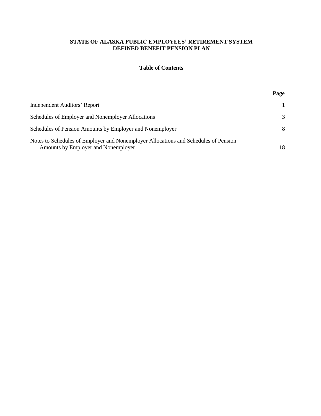### **Table of Contents**

## **Page**

| Independent Auditors' Report                                                                                               |               |
|----------------------------------------------------------------------------------------------------------------------------|---------------|
| Schedules of Employer and Nonemployer Allocations                                                                          | $\mathcal{F}$ |
| Schedules of Pension Amounts by Employer and Nonemployer                                                                   | 8             |
| Notes to Schedules of Employer and Nonemployer Allocations and Schedules of Pension<br>Amounts by Employer and Nonemployer | 18            |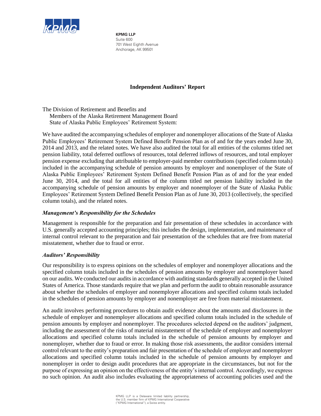

**KPMG LLP** Suite 600 701 West Eighth Avenue Anchorage, AK 99501

### **Independent Auditors' Report**

The Division of Retirement and Benefits and Members of the Alaska Retirement Management Board State of Alaska Public Employees' Retirement System:

We have audited the accompanying schedules of employer and nonemployer allocations of the State of Alaska Public Employees' Retirement System Defined Benefit Pension Plan as of and for the years ended June 30, 2014 and 2013, and the related notes. We have also audited the total for all entities of the columns titled net pension liability, total deferred outflows of resources, total deferred inflows of resources, and total employer pension expense excluding that attributable to employer-paid member contributions (specified column totals) included in the accompanying schedule of pension amounts by employer and nonemployer of the State of Alaska Public Employees' Retirement System Defined Benefit Pension Plan as of and for the year ended June 30, 2014, and the total for all entities of the column titled net pension liability included in the accompanying schedule of pension amounts by employer and nonemployer of the State of Alaska Public Employees' Retirement System Defined Benefit Pension Plan as of June 30, 2013 (collectively, the specified column totals), and the related notes.

### *Management's Responsibility for the Schedules*

Management is responsible for the preparation and fair presentation of these schedules in accordance with U.S. generally accepted accounting principles; this includes the design, implementation, and maintenance of internal control relevant to the preparation and fair presentation of the schedules that are free from material misstatement, whether due to fraud or error.

### *Auditors' Responsibility*

Our responsibility is to express opinions on the schedules of employer and nonemployer allocations and the specified column totals included in the schedules of pension amounts by employer and nonemployer based on our audits. We conducted our audits in accordance with auditing standards generally accepted in the United States of America. Those standards require that we plan and perform the audit to obtain reasonable assurance about whether the schedules of employer and nonemployer allocations and specified column totals included in the schedules of pension amounts by employer and nonemployer are free from material misstatement.

An audit involves performing procedures to obtain audit evidence about the amounts and disclosures in the schedule of employer and nonemployer allocations and specified column totals included in the schedule of pension amounts by employer and nonemployer. The procedures selected depend on the auditors' judgment, including the assessment of the risks of material misstatement of the schedule of employer and nonemployer allocations and specified column totals included in the schedule of pension amounts by employer and nonemployer, whether due to fraud or error. In making those risk assessments, the auditor considers internal control relevant to the entity's preparation and fair presentation of the schedule of employer and nonemployer allocations and specified column totals included in the schedule of pension amounts by employer and nonemployer in order to design audit procedures that are appropriate in the circumstances, but not for the purpose of expressing an opinion on the effectiveness of the entity's internal control. Accordingly, we express no such opinion. An audit also includes evaluating the appropriateness of accounting policies used and the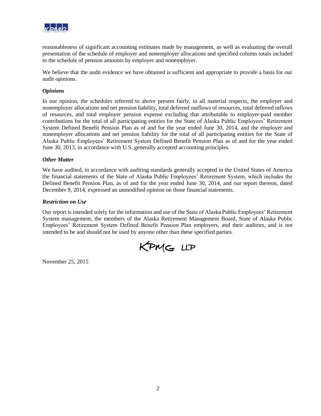

reasonableness of significant accounting estimates made by management, as well as evaluating the overall presentation of the schedule of employer and nonemployer allocations and specified column totals included in the schedule of pension amounts by employer and nonemployer.

We believe that the audit evidence we have obtained is sufficient and appropriate to provide a basis for our audit opinions.

### *Opinions*

In our opinion, the schedules referred to above present fairly, in all material respects, the employer and nonemployer allocations and net pension liability, total deferred outflows of resources, total deferred inflows of resources, and total employer pension expense excluding that attributable to employer-paid member contributions for the total of all participating entities for the State of Alaska Public Employees' Retirement System Defined Benefit Pension Plan as of and for the year ended June 30, 2014, and the employer and nonemployer allocations and net pension liability for the total of all participating entities for the State of Alaska Public Employees' Retirement System Defined Benefit Pension Plan as of and for the year ended June 30, 2013, in accordance with U.S. generally accepted accounting principles.

#### *Other Matter*

We have audited, in accordance with auditing standards generally accepted in the United States of America the financial statements of the State of Alaska Public Employees' Retirement System, which includes the Defined Benefit Pension Plan, as of and for the year ended June 30, 2014, and our report thereon, dated December 9, 2014, expressed an unmodified opinion on those financial statements.

#### *Restriction on Use*

Our report is intended solely for the information and use of the State of Alaska Public Employees' Retirement System management, the members of the Alaska Retirement Management Board, State of Alaska Public Employees' Retirement System Defined Benefit Pension Plan employers, and their auditors, and is not intended to be and should not be used by anyone other than these specified parties.



November 25, 2015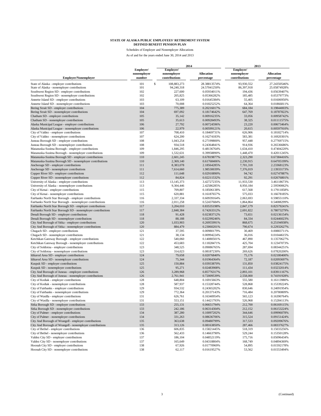|                                                                                                                      |                                    | 2014                                      |                                 | 2013                                      |                                 |  |
|----------------------------------------------------------------------------------------------------------------------|------------------------------------|-------------------------------------------|---------------------------------|-------------------------------------------|---------------------------------|--|
| <b>Employer/Nonemployer</b>                                                                                          | Employer/<br>nonemployer<br>number | Employer/<br>nonemployer<br>contributions | <b>Allocation</b><br>percentage | Employer/<br>nonemployer<br>contributions | <b>Allocation</b><br>percentage |  |
| State of Alaska - employer contributions<br>State of Alaska - nonemployer contributions                              | $\mathbb S$<br>101<br>101          | 108,883,273<br>94,240,318                 | 28.38813574%<br>24.57041250%    | 93,930,552<br>86,397,918                  | 27.24350546%<br>25.05874928%    |  |
| Southwest Region SD - employer contributions                                                                         | 102                                | 227,600                                   | 0.05934011%                     | 194,436                                   | 0.05639407%                     |  |
| Southwest Region SD - nonemployer contributions                                                                      | 102                                | 205,825                                   | 0.05366282%                     | 185,485                                   | 0.05379773%                     |  |
| Annette Island SD - employer contributions                                                                           | 103                                | 63,109                                    | 0.01645384%                     | 55,405                                    | 0.01606950%                     |  |
| Annette Island SD - nonemployer contributions                                                                        | 103                                | 70,008                                    | 0.01825252%                     | 64,364                                    | 0.01866811%                     |  |
| Bering Strait SD - employer contributions                                                                            | 104                                | 775,389                                   | 0.20216017%                     | 684,184                                   | 0.19844003%                     |  |
| Bering Strait SD - nonemployer contributions                                                                         | 104                                | 697,092                                   | 0.18174642%                     | 647,769                                   | 0.18787822%                     |  |
| Chatham SD - employer contributions                                                                                  | 105                                | 35,142                                    | 0.00916235%                     | 33,056                                    | 0.00958742%                     |  |
| Chatham SD - nonemployer contributions                                                                               | 105                                | 35,613                                    | 0.00928493%                     | 38,325                                    | 0.01111575%                     |  |
| Alaska Municipal League - employer contributions                                                                     | 106                                | 27,792                                    | 0.00724596%                     | 23,220                                    | 0.00673464%                     |  |
| Alaska Municipal League - nonemployer contributions                                                                  | 106                                | 22,979                                    | 0.00599121%                     | 20,615                                    | 0.00597910%                     |  |
| City of Valdez - employer contributions                                                                              | 107                                | 708,410                                   | 0.18469731%                     | 626,906                                   | 0.18182714%                     |  |
| City of Valdez - nonemployer contributions                                                                           | 107<br>108                         | 624,200                                   | 0.16274183%<br>0.27199800%      | 583,381<br>957,448                        | 0.16920301%                     |  |
| Juneau Borough SD - employer contributions<br>Juneau Borough SD - nonemployer contributions                          | 108                                | 1,043,254<br>934,518                      | 0.24364841%                     | 914,936                                   | 0.27769715%<br>0.26536686%      |  |
| Matanuska-Susitna Borough - employer contributions                                                                   | 109                                | 1,846,295                                 | 0.48136764%                     | 1,634,410                                 | 0.47404220%                     |  |
| Matanuska-Susitna Borough - nonemployer contributions                                                                | 109                                | 1,532,631                                 | 0.39958890%                     | 1,448,470                                 | 0.42011245%                     |  |
| Matanuska-Susitna Borough SD - employer contributions                                                                | 110                                | 2,601,245                                 | 0.67819877%                     | 2,323,290                                 | 0.67384416%                     |  |
| Matanuska-Susitna Borough SD - nonemployer contributions                                                             | 110                                | 2,369,140                                 | 0.61768406%                     | 2,230,915                                 | 0.64705199%                     |  |
| Anchorage SD - employer contributions                                                                                | 111                                | 8,383,078                                 | 2.18564285%                     | 7,701,318                                 | 2.23368123%                     |  |
| Anchorage SD - nonemployer contributions                                                                             | 111                                | 7,614,660                                 | 1.98530039%                     | 7,376,019                                 | 2.13933173%                     |  |
| Copper River SD - employer contributions                                                                             | 112                                | 111,648                                   | 0.02910890%                     | 94,742                                    | 0.02747887%                     |  |
| Copper River SD - nonemployer contributions                                                                          | 112                                | 84,824                                    | 0.02211532%                     | 92,291                                    | 0.02676801%                     |  |
| University of Alaska - employer contributions                                                                        | 113                                | 13,145,373                                | 3.42727235%                     | 11,933,530                                | 3.46118673%                     |  |
| University of Alaska - nonemployer contributions                                                                     | 113                                | 9,304,446                                 | 2.42586285%                     | 8,950,184                                 | 2.59590062%                     |  |
| City of Kenai - employer contributions                                                                               | 115                                | 709,807                                   | 0.18506138%                     | 617,568                                   | 0.17911858%                     |  |
| City of Kenai - nonemployer contributions                                                                            | 115                                | 620,881                                   | 0.16187657%                     | 575,033                                   | 0.16678185%                     |  |
| Fairbanks North Star Borough - employer contributions                                                                | 116                                | 2,337,334                                 | 0.60939164%                     | 2,063,693                                 | 0.59855110%                     |  |
| Fairbanks North Star Borough - nonemployer contributions<br>Fairbanks North Star Borough SD - employer contributions | 116<br>117                         | 2,011,258<br>3,204,010                    | 0.52437684%<br>0.83535198%      | 1,864,864<br>2,847,179                    | 0.54088299%<br>0.82579241%      |  |
| Fairbanks North Star Borough SD - nonemployer contributions                                                          | 117                                | 2,848,384                                 | 0.74263312%                     | 2,691,822                                 | 0.78073279%                     |  |
| Denali Borough SD - employer contributions                                                                           | 118                                | 91,428                                    | 0.02383712%                     | 73,651                                    | 0.02136154%                     |  |
| Denali Borough SD - nonemployer contributions                                                                        | 118                                | 88,188                                    | 0.02299246%                     | 84,334                                    | 0.02446023%                     |  |
| City And Borough of Sitka - employer contributions                                                                   | 120                                | 1,033,903                                 | 0.26955991%                     | 868,675                                   | 0.25194938%                     |  |
| City And Borough of Sitka - nonemployer contributions                                                                | 120                                | 884,479                                   | 0.23060201%                     | 790,674                                   | 0.22932627%                     |  |
| Chugach SD - employer contributions                                                                                  | 121                                | 37,595                                    | 0.00980179%                     | 30,469                                    | 0.00883711%                     |  |
| Chugach SD - nonemployer contributions                                                                               | 121                                | 38,134                                    | 0.00994224%                     | 36,016                                    | 0.01044615%                     |  |
| Ketchikan Gateway Borough - employer contributions                                                                   | 122                                | 540,060                                   | 0.14080501%                     | 467,890                                   | 0.13570627%                     |  |
| Ketchikan Gateway Borough - nonemployer contributions                                                                | 122                                | 453,683                                   | 0.11828471%                     | 425,704                                   | 0.12347073%                     |  |
| City of Soldotna - employer contributions                                                                            | 123                                | 348,525                                   | 0.09086765%                     | 287,694                                   | 0.08344251%                     |  |
| City of Soldotna - nonemployer contributions                                                                         | 123                                | 314,023                                   | 0.08187230%                     | 269,626                                   | 0.07820200%                     |  |
| Iditarod Area SD - employer contributions                                                                            | 124                                | 79,658                                    | 0.02076840%                     | 75,176                                    | 0.02180400%                     |  |
| Iditarod Area SD - nonemployer contributions<br>Kuspuk SD - employer contributions                                   | 124<br>125                         | 75,344<br>150,884                         | 0.01964364%<br>0.03933870%      | 72,187<br>131,850                         | 0.02093697%<br>0.03824175%      |  |
| Kuspuk SD - nonemployer contributions                                                                                | 125                                | 95,271                                    | 0.02483908%                     | 111,434                                   | 0.03232014%                     |  |
| City And Borough of Juneau - employer contributions                                                                  | 126                                | 3,289,968                                 | 0.85776317%                     | 2,893,101                                 | 0.83911167%                     |  |
| City And Borough of Juneau - nonemployer contributions                                                               | 126                                | 2,761,941                                 | 0.72009539%                     | 2,558,000                                 | 0.74191928%                     |  |
| City of Kodiak - employer contributions                                                                              | 128                                | 648,804                                   | 0.16915663%                     | 555,580                                   | 0.16113980%                     |  |
| City of Kodiak - nonemployer contributions                                                                           | 128                                | 587,937                                   | 0.15328744%                     | 528,868                                   | 0.15339224%                     |  |
| City of Fairbanks - employer contributions                                                                           | 129                                | 934,532                                   | 0.24365202%                     | 830,646                                   | 0.24091954%                     |  |
| City of Fairbanks - nonemployer contributions                                                                        | 129                                | 772,364                                   | 0.20137143%                     | 716,484                                   | 0.20780809%                     |  |
| City of Wasilla - employer contributions                                                                             | 131                                | 626,761                                   | 0.16340954%                     | 565,123                                   | 0.16390764%                     |  |
| City of Wasilla - nonemployer contributions                                                                          | 131                                | 553,151                                   | 0.14421793%                     | 526,968                                   | 0.15284113%                     |  |
| Sitka Borough SD - employer contributions                                                                            | 133                                | 255,131                                   | 0.06651794%                     | 212,700                                   | 0.06169115%                     |  |
| Sitka Borough SD - nonemployer contributions                                                                         | 133                                | 242,186                                   | 0.06314304%                     | 212,152                                   | 0.06153224%                     |  |
| City of Palmer - employer contributions                                                                              | 134                                | 387,280                                   | 0.10097202%                     | 344,646                                   | 0.09996078%                     |  |
| City of Palmer - nonemployer contributions                                                                           | 134                                | 331,263                                   | 0.08636706%                     | 315,524                                   | 0.09151424%                     |  |
| City And Borough of Wrangell - employer contributions<br>City And Borough of Wrangell - nonemployer contributions    | 135<br>135                         | 363,638<br>313,126                        | 0.09480799%<br>0.08163850%      | 317,533<br>287,466                        | 0.09209676%<br>0.08337627%      |  |
| City of Bethel - employer contributions                                                                              | 136                                | 606,835                                   | 0.15821445%                     | 518,319                                   | 0.15033256%                     |  |
| City of Bethel - nonemployer contributions                                                                           | 136                                | 562,433                                   | 0.14663790%                     | 529,244                                   | 0.15350128%                     |  |
| Valdez City SD - employer contributions                                                                              | 137                                | 186,104                                   | 0.04852119%                     | 175,716                                   | 0.05096434%                     |  |
| Valdez City SD - nonemployer contributions                                                                           | 137                                | 165,649                                   | 0.04318804%                     | 168,749                                   | 0.04894369%                     |  |
| Hoonah City SD - employer contributions                                                                              | 138                                | 67,926                                    | 0.01770969%                     | 54,895                                    | 0.01592178%                     |  |
| Hoonah City SD - nonemployer contributions                                                                           | 138                                | 62,117                                    | 0.01619527%                     | 53,562                                    | 0.01553494%                     |  |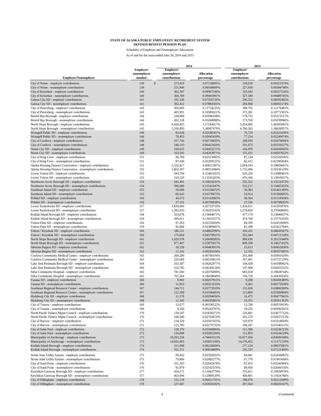|                                                                                                             |                                    |                                           | 2014                            | 2013                                      |                                 |
|-------------------------------------------------------------------------------------------------------------|------------------------------------|-------------------------------------------|---------------------------------|-------------------------------------------|---------------------------------|
| <b>Employer/Nonemployer</b>                                                                                 | Employer/<br>nonemployer<br>number | Employer/<br>nonemployer<br>contributions | <b>Allocation</b><br>percentage | Employer/<br>nonemployer<br>contributions | <b>Allocation</b><br>percentage |
| City of Nome - employer contributions                                                                       | 139                                | $\mathbb S$<br>273,419                    | 0.07128605%                     | 218,018                                   | 0.06323374%                     |
| City of Nome - nonemployer contributions                                                                    | 139                                | 251,940                                   | 0.06568609%                     | 227,030                                   | 0.06584748%                     |
| City of Kotzebue - employer contributions                                                                   | 140                                | 382,307                                   | 0.09967546%                     | 319,183                                   | 0.09257536%                     |
| City of Kotzebue - nonemployer contributions                                                                | 140                                | 360,769                                   | 0.09405991%                     | 327,189                                   | 0.09489745%                     |
| Galena City SD - employer contributions                                                                     | 141                                | 291,336                                   | 0.07595734%                     | 296,252                                   | 0.08592465%                     |
| Galena City SD - nonemployer contributions                                                                  | 141                                | 302,412                                   | 0.07884505%                     | 284,968                                   | 0.08265174%                     |
| City of Petersburg - employer contributions                                                                 | 143                                | 450,069                                   | 0.11734225%                     | 388,792                                   | 0.11276481%                     |
| City of Petersburg - nonemployer contributions                                                              | 143                                | 405,991                                   | 0.10585021%                     | 371,381                                   | 0.10771501%                     |
| Bristol Bay Borough - employer contributions<br>Bristol Bay Borough - nonemployer contributions             | 144<br>144                         | 228,068<br>202,128                        | 0.05946198%<br>0.05269898%      | 179,752<br>173,769                        | 0.05213517%<br>0.05039980%      |
| North Slope Borough - employer contributions                                                                | 145                                | 6,028,825                                 | 1.57184017%                     | 5,054,002                                 | 1.46585681%                     |
| North Slope Borough - nonemployer contributions                                                             | 145                                | 5,330,893                                 | 1.38987479%                     | 4,786,565                                 | 1.38828957%                     |
| Wrangell Public SD - employer contributions                                                                 | 146                                | 83,628                                    | 0.02180367%                     | 76,729                                    | 0.02225438%                     |
| Wrangell Public SD - nonemployer contributions                                                              | 146                                | 78,453                                    | 0.02045439%                     | 77,234                                    | 0.02240074%                     |
| City of Cordova - employer contributions                                                                    | 148                                | 257,744                                   | 0.06719925%                     | 188,930                                   | 0.05479694%                     |
| City of Cordova - nonemployer contributions                                                                 | 148                                | 246,333                                   | 0.06422424%                     | 191,672                                   | 0.05559227%                     |
| Nome City SD - employer contributions                                                                       | 149                                | 169,655                                   | 0.04423271%                     | 144,979                                   | 0.04204945%                     |
| Nome City SD - nonemployer contributions                                                                    | 149                                | 163,545                                   | 0.04263971%                     | 155,421                                   | 0.04507822%                     |
| City of King Cove - employer contributions                                                                  | 151                                | 96,789                                    | 0.02523482%                     | 87,124                                    | 0.02526936%                     |
| City of King Cove - nonemployer contributions                                                               | 151                                | 87,036                                    | 0.02269221%                     | 82,412                                    | 0.02390264%                     |
| Alaska Housing Finance Corporation - employer contributions                                                 | 152                                | 2,332,817                                 | 0.60821387%                     | 2,064,193                                 | 0.59869601%                     |
| Alaska Housing Finance Corporation - nonemployer contributions                                              | 152                                | 1,862,187                                 | 0.48551084%                     | 1,735,496                                 | 0.50336129%                     |
| Lower Yukon SD - employer contributions<br>Lower Yukon SD - nonemployer contributions                       | 153<br>153                         | 593,794<br>519,529                        | 0.15481435%<br>0.13545203%      | 520,220<br>476,166                        | 0.15088401%<br>0.13810657%      |
| Northwest Arctic Borough SD - employer contributions                                                        | 154                                | 645,491                                   | 0.16829291%                     | 535,252                                   | 0.15524373%                     |
| Northwest Arctic Borough SD - nonemployer contributions                                                     | 154                                | 596,080                                   | 0.15541047%                     | 533,217                                   | 0.15465352%                     |
| Southeast Island SD - employer contributions                                                                | 155                                | 59,008                                    | 0.01538472%                     | 50,383                                    | 0.01461309%                     |
| Southeast Island SD - nonemployer contributions                                                             | 155                                | 60,543                                    | 0.01578473%                     | 54,014                                    | 0.01566605%                     |
| Pribilof SD - employer contributions                                                                        | 156                                | 44,572                                    | 0.01162085%                     | 38,564                                    | 0.01118504%                     |
| Pribilof SD - nonemployer contributions                                                                     | 156                                | 27,191                                    | 0.00708938%                     | 27,536                                    | 0.00798655%                     |
| Lower Kuskokwim SD - employer contributions                                                                 | 157                                | 1,639,060                                 | 0.42733719%                     | 1,434,011                                 | 0.41591876%                     |
| Lower Kuskokwim SD - nonemployer contributions                                                              | 157                                | 1,392,033                                 | 0.36293192%                     | 1,278,824                                 | 0.37090869%                     |
| Kodiak Island Borough SD - employer contributions                                                           | 158                                | 524,878                                   | 0.13684671%                     | 477,179                                   | 0.13840037%                     |
| Kodiak Island Borough SD - nonemployer contributions                                                        | 158                                | 499,011                                   | 0.13010257%                     | 474,768                                   | 0.13770103%                     |
| Yukon Flats SD - employer contributions                                                                     | 159                                | 97,263                                    | 0.02535850%                     | 84,599                                    | 0.02453699%                     |
| Yukon Flats SD - nonemployer contributions                                                                  | 159                                | 91,668                                    | 0.02389965%                     | 83,188                                    | 0.02412784%                     |
| Yukon / Koyukuk SD - employer contributions                                                                 | 160<br>160                         | 186,521                                   | 0.04862990%                     | 160,102                                   | 0.04643567%                     |
| Yukon / Koyukuk SD - nonemployer contributions<br>North Slope Borough SD - employer contributions           | 161                                | 175,664<br>1,020,578                      | 0.04579921%<br>0.26608585%      | 162,444<br>900,636                        | 0.04711518%<br>0.26121940%      |
| North Slope Borough SD - nonemployer contributions                                                          | 161                                | 877,407                                   | 0.22875817%                     | 849,108                                   | 0.24627432%                     |
| Aleutian Region SD - employer contributions                                                                 | 162                                | 18,528                                    | 0.00483053%                     | 15,613                                    | 0.00452836%                     |
| Aleutian Region SD - nonemployer contributions                                                              | 162                                | 11,242                                    | 0.00293104%                     | 12,332                                    | 0.00357685%                     |
| Cordova Community Medical Center - employer contributions                                                   | 163                                | 260,286                                   | 0.06786194%                     | 201,409                                   | 0.05841629%                     |
| Cordova Community Medical Center - nonemployer contributions                                                | 163                                | 250,069                                   | 0.06519813%                     | 197,461                                   | 0.05727139%                     |
| Lake And Peninsula Borough SD - employer contributions                                                      | 164                                | 163,507                                   | 0.04262977%                     | 144,428                                   | 0.04188962%                     |
| Lake And Peninsula Borough SD - nonemployer contributions                                                   | 164                                | 162,785                                   | 0.04244154%                     | 147,068                                   | 0.04265552%                     |
| Sitka Community Hospital - employer contributions                                                           | 165                                | 781,560                                   | 0.20376898%                     | 683,658                                   | 0.19828744%                     |
| Sitka Community Hospital - nonemployer contributions                                                        | 165                                | 707,264                                   | 0.18439849%                     | 704,718                                   | 0.20439556%                     |
| Tanana SD - employer contributions                                                                          | 166                                | 9,892                                     | 0.00257915%                     | 9,288                                     | 0.00269389%                     |
| Tanana SD - nonemployer contributions                                                                       | 166                                | 11,953                                    | 0.00311633%                     | 9,401                                     | 0.00272658%                     |
| Southeast Regional Resource Center - employer contributions                                                 | 167                                | 144,711                                   | 0.03772919%                     | 131,026                                   | 0.03800269%                     |
| Southeast Regional Resource Center - nonemployer contributions<br>Hydaburg City SD - employer contributions | 167<br>168                         | 122,599<br>11,278                         | 0.03196403%<br>0.00294034%      | 113,809                                   | 0.03300904%<br>0.00477841%      |
| Hydaburg City SD - nonemployer contributions                                                                | 168                                | 11,345                                    | 0.00295801%                     | 16,475<br>19,355                          | 0.00561362%                     |
| City of Tanana - employer contributions                                                                     | 169                                | 12,677                                    | 0.00330522%                     | 12,789                                    | 0.00370919%                     |
| City of Tanana - nonemployer contributions                                                                  | 169                                | 9,350                                     | 0.00243767%                     | 10,226                                    | 0.00296591%                     |
| North Pacific Fishery Mgmt Council - employer contributions                                                 | 170                                | 139,547                                   | 0.03638272%                     | 126,801                                   | 0.03677712%                     |
| North Pacific Fishery Mgmt Council - nonemployer contributions                                              | 170                                | 106,040                                   | 0.02764679%                     | 101,270                                   | 0.02937213%                     |
| City of Barrow - employer contributions                                                                     | 171                                | 134,529                                   | 0.03507455%                     | 110,979                                   | 0.03218818%                     |
| City of Barrow - nonemployer contributions                                                                  | 171                                | 125,795                                   | 0.03279732%                     | 108,267                                   | 0.03140157%                     |
| City of Saint Paul - employer contributions                                                                 | 172                                | 128,370                                   | 0.03346884%                     | 111,596                                   | 0.03236723%                     |
| City of Saint Paul - nonemployer contributions                                                              | 172                                | 126,008                                   | 0.03285294%                     | 111,855                                   | 0.03244218%                     |
| Municipality of Anchorage - employer contributions                                                          | 173                                | 18,293,258                                | 4.76943313%                     | 16,677,050                                | 4.83699168%                     |
| Municipality of Anchorage - nonemployer contributions                                                       | 173                                | 14,692,003                                | 3.83051106%                     | 14,176,452                                | 4.11172130%                     |
| Kodiak Island Borough - employer contributions                                                              | 174                                | 311,698                                   | 0.08126609%                     | 277,124                                   | 0.08037681%                     |
| Kodiak Island Borough - nonemployer contributions                                                           | 174                                | 262,151                                   | 0.06834809%                     | 245,535                                   | 0.07121460%                     |
| Nome Joint Utility System - employer contributions                                                          | 175                                | 99,452                                    | 0.02592922%                     | 84,681                                    | 0.02456081%                     |
| Nome Joint Utility System - nonemployer contributions                                                       | 175                                | 79,866                                    | 0.02082277%                     | 67,770                                    | 0.01965604%                     |
| City of Sand Point - employer contributions                                                                 | 176                                | 101,353                                   | 0.02642478%                     | 87,815                                    | 0.02546984%                     |
| City of Sand Point - nonemployer contributions                                                              | 176                                | 95,979                                    | 0.02502376%                     | 89,959                                    | 0.02609156%                     |
| Ketchikan Gateway Borough SD - employer contributions                                                       | 177                                | 454,271                                   | 0.11843779%                     | 376,811                                   | 0.10928978%                     |
| Ketchikan Gateway Borough SD - nonemployer contributions<br>City of Dillingham - employer contributions     | 177<br>178                         | 463,696<br>232,118                        | 0.12089520%<br>0.06051791%      | 400,801<br>190,076                        | 0.11624786%<br>0.05512949%      |
| City of Dillingham - nonemployer contributions                                                              | 178                                | 227,607                                   | 0.05934182%                     | 207,564                                   | 0.06020167%                     |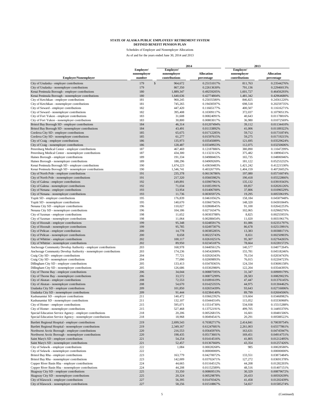|                                                                                                   |                                    | 2014                                      |                                 | 2013                                      |                                 |  |
|---------------------------------------------------------------------------------------------------|------------------------------------|-------------------------------------------|---------------------------------|-------------------------------------------|---------------------------------|--|
| <b>Employer/Nonemployer</b>                                                                       | Employer/<br>nonemployer<br>number | Employer/<br>nonemployer<br>contributions | <b>Allocation</b><br>percentage | Employer/<br>nonemployer<br>contributions | <b>Allocation</b><br>percentage |  |
| City of Unalaska - employer contributions                                                         | 179                                | $\mathsf{s}$<br>964,672                   | 0.25151017%                     | 811,763                                   | 0.23544276%                     |  |
| City of Unalaska - nonemployer contributions                                                      | 179                                | 867,350                                   | 0.22613630%                     | 791,136                                   | 0.22946013%                     |  |
| Kenai Peninsula Borough - employer contributions                                                  | 180                                | 1,889,347                                 | 0.49259205%                     | 1,601,727                                 | 0.46456293%                     |  |
| Kenai Peninsula Borough - nonemployer contributions                                               | 180                                | 1,640,636                                 | 0.42774804%                     | 1,481,342                                 | 0.42964680%                     |  |
| City of Ketchikan - employer contributions                                                        | 181                                | 960,245                                   | 0.25035580%                     | 846,825                                   | 0.24561220%                     |  |
| City of Ketchikan - nonemployer contributions                                                     | 181                                | 745,265                                   | 0.19430597%                     | 698,518                                   | 0.20259735%                     |  |
| City of Seward - employer contributions                                                           | 182                                | 447,420                                   | 0.11665177%                     | 400,507                                   | 0.11616271%                     |  |
| City of Seward - nonemployer contributions                                                        | 182                                | 395,408                                   | 0.10309117%                     | 372,037                                   | 0.10790513%                     |  |
| City of Fort Yukon - employer contributions                                                       | 183                                | 31,608                                    | 0.00824091%                     | 40,643                                    | 0.01178816%                     |  |
| City of Fort Yukon - nonemployer contributions<br>Bristol Bay Borough SD - employer contributions | 183<br>184                         | 30,800<br>46,314                          | 0.00803017%                     | 36,980                                    | 0.01072569%<br>0.01134410%      |  |
| Bristol Bay Borough SD - nonemployer contributions                                                | 184                                | 43,491                                    | 0.01207494%<br>0.01133892%      | 39,112<br>41,006                          | 0.01189322%                     |  |
| Cordova City SD - employer contributions                                                          | 185                                | 65,675                                    | 0.01712285%                     | 59,712                                    | 0.01731874%                     |  |
| Cordova City SD - nonemployer contributions                                                       | 185                                | 61,277                                    | 0.01597615%                     | 59,275                                    | 0.01719215%                     |  |
| City of Craig - employer contributions                                                            | 186                                | 135,973                                   | 0.03545089%                     | 121,695                                   | 0.03529624%                     |  |
| City of Craig - nonemployer contributions                                                         | 186                                | 128,487                                   | 0.03349923%                     | 112,075                                   | 0.03250606%                     |  |
| Petersburg Medical Center - employer contributions                                                | 187                                | 467,469                                   | 0.12187886%                     | 380,890                                   | 0.11047299%                     |  |
| Petersburg Medical Center - nonemployer contributions                                             | 187                                | 434,300                                   | 0.11323112%                     | 375,482                                   | 0.10890431%                     |  |
| Haines Borough - employer contributions                                                           | 189                                | 191,334                                   | 0.04988465%                     | 165,735                                   | 0.04806946%                     |  |
| Haines Borough - nonemployer contributions                                                        | 189                                | 188,296                                   | 0.04909269%                     | 181,122                                   | 0.05253232%                     |  |
| Kenai Peninsula Borough SD - employer contributions                                               | 190                                | 1,674,223                                 | 0.43650483%                     | 1,421,242                                 | 0.41221530%                     |  |
| Kenai Peninsula Borough SD - nonemployer contributions                                            | 190                                | 1,546,741                                 | 0.40326770%                     | 1,404,159                                 | 0.40726052%                     |  |
| City of North Pole - employer contributions                                                       | 191                                | 235,378                                   | 0.06136786%                     | 197,080                                   | 0.05716074%                     |  |
| City of North Pole - nonemployer contributions                                                    | 191                                | 217,320                                   | 0.05665982%                     | 190,418                                   | 0.05522866%                     |  |
| City of Galena - employer contributions                                                           | 192                                | 149,891                                   | 0.03907961%                     | 135,132                                   | 0.03919343%                     |  |
| City of Galena - nonemployer contributions                                                        | 192                                | 71,034                                    | 0.01851991%                     | 69,857                                    | 0.02026126%                     |  |
| City of Nenana - employer contributions                                                           | 193                                | 53,954                                    | 0.01406700%                     | 37,806                                    | 0.01096529%                     |  |
| City of Nenana - nonemployer contributions                                                        | 193                                | 11,736                                    | 0.00305972%                     | 19,295                                    | 0.00559619%                     |  |
| Yupiit SD - employer contributions                                                                | 195                                | 176,839                                   | 0.04610562%                     | 158,184                                   | 0.04587948%                     |  |
| Yupiit SD - nonemployer contributions                                                             | 195                                | 140,670                                   | 0.03667565%                     | 148,320                                   | 0.04301844%                     |  |
| Nenana City SD - employer contributions<br>Nenana City SD - nonemployer contributions             | 196<br>196                         | 110,027<br>104,186                        | 0.02868645%<br>0.02716347%      | 91,100<br>102,065                         | 0.02642253%<br>0.02960276%      |  |
| City of Saxman - employer contributions                                                           | 198                                | 11,652                                    | 0.00303788%                     | 8,825                                     | 0.00255955%                     |  |
| City of Saxman - nonemployer contributions                                                        | 198                                | 11,064                                    | 0.00288454%                     | 11,020                                    | 0.00319617%                     |  |
| City of Hoonah - employer contributions                                                           | 199                                | 95,348                                    | 0.02485917%                     | 81,086                                    | 0.02351797%                     |  |
| City of Hoonah - nonemployer contributions                                                        | 199                                | 95,785                                    | 0.02497307%                     | 86,678                                    | 0.02513991%                     |  |
| City of Pelican - employer contributions                                                          | 200                                | 14,778                                    | 0.00385285%                     | 13,383                                    | 0.00388171%                     |  |
| City of Pelican - nonemployer contributions                                                       | 200                                | 8,658                                     | 0.00225743%                     | 8,651                                     | 0.00250903%                     |  |
| City of Whittier - employer contributions                                                         | 202                                | 100,117                                   | 0.02610251%                     | 95,307                                    | 0.02764265%                     |  |
| City of Whittier - nonemployer contributions                                                      | 202                                | 89,950                                    | 0.02345187%                     | 78,664                                    | 0.02281572%                     |  |
| Anchorage Community Develop Authority - employer contributions                                    | 203                                | 168,978                                   | 0.04405612%                     | 140,577                                   | 0.04077264%                     |  |
| Anchorage Community Develop Authority - nonemployer contributions                                 | 203                                | 174,236                                   | 0.04542690%                     | 155,781                                   | 0.04518246%                     |  |
| Craig City SD - employer contributions                                                            | 204                                | 77,721                                    | 0.02026343%                     | 70,154                                    | 0.02034743%                     |  |
| Craig City SD - nonemployer contributions                                                         | 204                                | 77,090                                    | 0.02009893%                     | 76,015                                    | 0.02204723%                     |  |
| Dillingham City SD - employer contributions                                                       | 205                                | 133,413                                   | 0.03478365%                     | 124,334                                   | 0.03606158%                     |  |
| Dillingham City SD - nonemployer contributions                                                    | 205                                | 126,686                                   | 0.03302980%                     | 122,204                                   | 0.03544395%                     |  |
| City of Thorne Bay - employer contributions                                                       | 206                                | 34,044                                    | 0.00887595%                     | 31,347                                    | 0.00909179%                     |  |
| City of Thorne Bay - nonemployer contributions                                                    | 206                                | 33,572                                    | 0.00875299%                     | 28,583                                    | 0.00829023%                     |  |
| City of Akutan - employer contributions                                                           | 208                                | 72,553                                    | 0.01891619%                     | 47,447                                    | 0.01376145%                     |  |
| City of Akutan - nonemployer contributions                                                        | 208                                | 54,670                                    | 0.01425355%                     | 44,975                                    | 0.01304462%                     |  |
| Unalaska City SD - employer contributions<br>Unalaska City SD - nonemployer contributions         | 209<br>209                         | 101,850<br>91,444                         | 0.02655439%                     | 93,643<br>89,799                          | 0.02716006%<br>0.02604506%      |  |
| Kashunamiut SD - employer contributions                                                           | 211                                | 140,472                                   | 0.02384140%<br>0.03662392%      | 119,604                                   | 0.03468982%                     |  |
| Kashunamiut SD - nonemployer contributions                                                        | 211                                | 132,107                                   | 0.03444314%                     | 115,052                                   | 0.03336968%                     |  |
| City of Homer - employer contributions                                                            | 215                                | 595,071                                   | 0.15514730%                     | 534,938                                   | 0.15515288%                     |  |
| City of Homer - nonemployer contributions                                                         | 215                                | 527,468                                   | 0.13752191%                     | 499,705                                   | 0.14493370%                     |  |
| Special Education Service Agency - employer contributions                                         | 218                                | 20,206                                    | 0.00526815%                     | 16,601                                    | 0.00481506%                     |  |
| Special Education Service Agency - nonemployer contributions                                      | 218                                | 18,968                                    | 0.00494541%                     | 20,291                                    | 0.00588522%                     |  |
| Bartlett Regional Hospital - employer contributions                                               | 219                                | 2,699,543                                 | 0.70382717%                     | 2,414,841                                 | 0.70039754%                     |  |
| Bartlett Regional Hospital - nonemployer contributions                                            | 219                                | 2,349,167                                 | 0.61247681%                     | 2,261,003                                 | 0.65577861%                     |  |
| Northwest Arctic Borough - employer contributions                                                 | 220                                | 216,553                                   | 0.05645976%                     | 163,631                                   | 0.04745947%                     |  |
| Northwest Arctic Borough - nonemployer contributions                                              | 220                                | 198,435                                   | 0.05173601%                     | 169,451                                   | 0.04914751%                     |  |
| Saint Mary's SD - employer contributions                                                          | 221                                | 54,254                                    | 0.01414516%                     | 41,805                                    | 0.01212495%                     |  |
| Saint Mary's SD - nonemployer contributions                                                       | 221                                | 52,457                                    | 0.01367660%                     | 43,354                                    | 0.01257426%                     |  |
| City of Selawik - employer contributions                                                          | 222                                | 1,084                                     | 0.00028268%                     | 985                                       | 0.00028580%                     |  |
| City of Selawik - nonemployer contributions                                                       | 222                                |                                           | 0.00000000%                     |                                           | 0.00000000%                     |  |
| Bristol Bay Rha - employer contributions                                                          | 223                                | 163,779                                   | 0.04270072%                     | 133,551                                   | 0.03873484%                     |  |
| Bristol Bay Rha - nonemployer contributions                                                       | 223                                | 142,009                                   | 0.03702471%                     | 127,272                                   | 0.03691378%                     |  |
| Copper River Basin Rha - employer contributions                                                   | 224                                | 44,665                                    | 0.01164512%                     | 44,208                                    | 0.01282203%                     |  |
| Copper River Basin Rha - nonemployer contributions                                                | 224                                | 44,208                                    | 0.01152589%                     | 48,516                                    | 0.01407151%                     |  |
| Skagway City SD - employer contributions                                                          | 225                                | 33,350                                    | 0.00869513%                     | 30,329                                    | 0.00879672%                     |  |
| Skagway City SD - nonemployer contributions                                                       | 225                                | 20,324                                    | 0.00529878%                     | 20,433                                    | 0.00592639%                     |  |
| City of Klawock - employer contributions                                                          | 227                                | 56,395                                    | 0.01470342%                     | 41,458                                    | 0.01202439%                     |  |
| City of Klawock - nonemployer contributions                                                       | 227                                | 58,256                                    | 0.01518867%                     | 54,657                                    | 0.01585274%                     |  |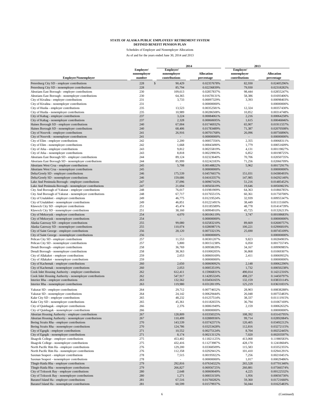|                                                                                                                |                       | 2014                         |                                 | 2013                         |                                 |  |
|----------------------------------------------------------------------------------------------------------------|-----------------------|------------------------------|---------------------------------|------------------------------|---------------------------------|--|
|                                                                                                                | Employer/             | Employer/                    |                                 | Employer/                    |                                 |  |
| <b>Employer/Nonemployer</b>                                                                                    | nonemployer<br>number | nonemployer<br>contributions | <b>Allocation</b><br>percentage | nonemployer<br>contributions | <b>Allocation</b><br>percentage |  |
| Petersburg City SD - employer contributions                                                                    | $\mathbb{S}$<br>228   | 90,429                       | 0.02357678%                     | 82,930                       | 0.02405296%                     |  |
| Petersburg City SD - nonemployer contributions                                                                 | 228                   | 85,794                       | 0.02236839%                     | 79,930                       | 0.02318282%                     |  |
| Aleutians East Borough - employer contributions                                                                | 230                   | 109,613                      | 0.02857837%                     | 98,444                       | 0.02855247%                     |  |
| Aleutians East Borough - nonemployer contributions                                                             | 230                   | 64,365                       | 0.01678131%                     | 58,386                       | 0.01693406%                     |  |
| City of Kivalina - employer contributions                                                                      | 231                   | 3,733                        | 0.00097329%                     | 3,393                        | 0.00098403%                     |  |
| City of Kivalina - nonemployer contributions                                                                   | 231                   |                              | 0.00000000%                     |                              | 0.00000000%                     |  |
| City of Huslia - employer contributions                                                                        | 235                   | 13,523                       | 0.00352581%                     | 12,324                       | 0.00357430%                     |  |
| City of Huslia - nonemployer contributions                                                                     | 235<br>237            | 10,989                       | 0.00286508%                     | 10,852                       | 0.00314748%                     |  |
| City of Kaltag - employer contributions<br>City of Kaltag - nonemployer contributions                          | 237                   | 3,224<br>2,328               | 0.00084061%<br>0.00060695%      | 2,216<br>1,615               | 0.00064258%<br>0.00046846%      |  |
| Haines Borough SD - employer contributions                                                                     | 240                   | 67,004                       | 0.01746932%                     | 65,907                       | 0.01911557%                     |  |
| Haines Borough SD - nonemployer contributions                                                                  | 240                   | 68,406                       | 0.01783489%                     | 71,387                       | 0.02070508%                     |  |
| City of Noorvik - employer contributions                                                                       | 241                   | 26,916                       | 0.00701768%                     | 26,096                       | 0.00756896%                     |  |
| City of Noorvik - nonemployer contributions                                                                    | 241                   |                              | 0.00000000%                     |                              | 0.00000000%                     |  |
| City of Elim - employer contributions                                                                          | 242                   | 2,200                        | 0.00057356%                     | 2,355                        | 0.00068311%                     |  |
| City of Elim - nonemployer contributions                                                                       | 242                   | 1,668                        | 0.00043490%                     | 1,779                        | 0.00051609%                     |  |
| City of Atka - employer contributions                                                                          | 243                   | 9,812                        | 0.00255819%                     | 4,131                        | 0.00119827%                     |  |
| City of Atka - nonemployer contributions                                                                       | 243                   | 8,818                        | 0.00229903%                     | 6,852                        | 0.00198725%                     |  |
| Aleutians East Borough SD - employer contributions                                                             | 244                   | 89,124                       | 0.02323640%                     | 70,706                       | 0.02050735%                     |  |
| Aleutians East Borough SD - nonemployer contributions                                                          | 244                   | 85,999                       | 0.02242183%                     | 71,256                       | 0.02066709%                     |  |
| Aleutians West Crsa - employer contributions                                                                   | 245                   | 5,708                        | 0.00148822%                     | 5,962                        | 0.00172917%                     |  |
| Aleutians West Crsa - nonemployer contributions                                                                | 245                   |                              | 0.00000000%                     |                              | 0.00000000%                     |  |
| Delta/Greely SD - employer contributions                                                                       | 246                   | 175,539                      | 0.04576657%                     | 151,031                      | 0.04380493%                     |  |
| Delta/Greely SD - nonemployer contributions                                                                    | 246                   | 159,686                      | 0.04163357%                     | 147,985                      | 0.04292140%                     |  |
| Lake And Peninsula Borough - employer contributions                                                            | 247<br>247            | 37,096                       | 0.00967163%                     | 51,216<br>19,646             | 0.01485452%<br>0.00569823%      |  |
| Lake And Peninsula Borough - nonemployer contributions<br>City And Borough of Yakutat - employer contributions | 248                   | 21,694<br>76,017             | 0.00565619%<br>0.01981909%      | 64,363                       | 0.01866785%                     |  |
| City And Borough of Yakutat - nonemployer contributions                                                        | 248                   | 67,717                       | 0.01765515%                     | 60,361                       | 0.01750700%                     |  |
| City of Unalakleet - employer contributions                                                                    | 249                   | 46,775                       | 0.01219524%                     | 32,939                       | 0.00955347%                     |  |
| City of Unalakleet - nonemployer contributions                                                                 | 249                   | 46,851                       | 0.01221491%                     | 38,449                       | 0.01115160%                     |  |
| Klawock City SD - employer contributions                                                                       | 251                   | 45,474                       | 0.01185589%                     | 48,778                       | 0.01414739%                     |  |
| Klawock City SD - nonemployer contributions                                                                    | 251                   | 38,160                       | 0.00994910%                     | 45,725                       | 0.01326213%                     |  |
| City of Mekoryuk - employer contributions                                                                      | 254                   | 4,070                        | 0.00106119%                     | 3,747                        | 0.00108683%                     |  |
| City of Mekoryuk - nonemployer contributions                                                                   | 254                   |                              | 0.00000000%                     |                              | 0.00000000%                     |  |
| Alaska Gateway SD - employer contributions                                                                     | 255                   | 99,080                       | 0.02583210%                     | 89,669                       | 0.02600757%                     |  |
| Alaska Gateway SD - nonemployer contributions                                                                  | 255                   | 110,074                      | 0.02869871%                     | 100,221                      | 0.02906810%                     |  |
| City of Saint George - employer contributions                                                                  | 256                   | 28,120                       | 0.00733213%                     | 25,690                       | 0.00745109%                     |  |
| City of Saint George - nonemployer contributions                                                               | 256                   |                              | 0.00000000%                     |                              | 0.00000000%                     |  |
| Pelican City SD - employer contributions                                                                       | 257                   | 11,553                       | 0.00301207%                     | 9,823                        | 0.00284903%                     |  |
| Pelican City SD - nonemployer contributions                                                                    | 257                   | 5,800                        | 0.00151238%                     | 6,050                        | 0.00175574%                     |  |
| Denali Borough - employer contributions                                                                        | 258                   | 36,769                       | 0.00958639%                     | 34,167                       | 0.00990985%                     |  |
| Denali Borough - nonemployer contributions                                                                     | 258                   | 38,363                       | 0.01000205%                     | 36,868                       | 0.01069307%                     |  |
| City of Allakaket - employer contributions<br>City of Allakaket - nonemployer contributions                    | 259<br>259            | 2,653                        | 0.00069169%<br>0.00000000%      | 2,411                        | 0.00069932%<br>0.00000000%      |  |
| City of Kachemak - employer contributions                                                                      | 260                   | 2,650                        | 0.00069092%                     | 2,148                        | 0.00062290%                     |  |
| City of Kachemak - nonemployer contributions                                                                   | 260                   | 2,053                        | 0.00053519%                     | 1,732                        | 0.00050238%                     |  |
| Cook Inlet Housing Authority - employer contributions                                                          | 262                   | 612,411                      | 0.15966831%                     | 490,014                      | 0.14212316%                     |  |
| Cook Inlet Housing Authority - nonemployer contributions                                                       | 262                   | 547,917                      | 0.14285324%                     | 498,237                      | 0.14450797%                     |  |
| Interior Rha - employer contributions                                                                          | 263                   | 132,562                      | 0.03456165%                     | 132,159                      | 0.03833114%                     |  |
| Interior Rha - nonemployer contributions                                                                       | 263                   | 119,980                      | 0.03128119%                     | 125,219                      | 0.03631831%                     |  |
| Yakutat SD - employer contributions                                                                            | 264                   | 29,712                       | 0.00774652%                     | 28,903                       | 0.00838288%                     |  |
| Yakutat SD - nonemployer contributions                                                                         | 264                   | 24,142                       | 0.00629444%                     | 26,048                       | 0.00755483%                     |  |
| Kake City SD - employer contributions                                                                          | 265                   | 48,232                       | 0.01257514%                     | 38,337                       | 0.01111915%                     |  |
| Kake City SD - nonemployer contributions                                                                       | 265                   | 45,361                       | 0.01182655%                     | 36,794                       | 0.01067169%                     |  |
| City of Quinhagak - employer contributions                                                                     | 266                   | 2,376                        | 0.00061949%                     | 2,159                        | 0.00062632%                     |  |
| City of Quinhagak - nonemployer contributions                                                                  | 266                   |                              | 0.00000000%                     |                              | 0.00000000%                     |  |
| Aleutian Housing Authority - employer contributions                                                            | 267                   | 128,809                      | 0.03358325%                     | 108,392                      | 0.03143795%                     |  |
| Aleutian Housing Authority - nonemployer contributions                                                         | 267                   | 110,499                      | 0.02880936%                     | 99,714                       | 0.02892084%                     |  |
| Bering Straits Rha - employer contributions                                                                    | 270                   | 143,539                      | 0.03742371%                     | 120,405                      | 0.03492212%                     |  |
| Bering Straits Rha - nonemployer contributions                                                                 | 270                   | 124,786                      | 0.03253428%                     | 112,816                      | 0.03272115%                     |  |
| City of Egegik - employer contributions                                                                        | 271                   | 10,552                       | 0.00275124%                     | 8,704                        | 0.00252445%                     |  |
| City of Egegik - nonemployer contributions                                                                     | 271                   | 8,174                        | 0.00213112%                     | 7,020                        | 0.00203597%                     |  |
| Ilisagvik College - employer contributions                                                                     | 275                   | 453,402                      | 0.11821125%                     | 413,068                      | 0.11980583%                     |  |
| Ilisagvik College - nonemployer contributions<br>North Pacific Rim Ha - employer contributions                 | 275<br>276            | 432,416<br>129,200           | 0.11273987%<br>0.03368509%      | 428,170<br>115,583           | 0.12418604%<br>0.03352355%      |  |
| North Pacific Rim Ha - nonemployer contributions                                                               | 276                   | 112,358                      | 0.02929412%                     | 101,410                      | 0.02941291%                     |  |
| Saxman Seaport - employer contributions                                                                        | 278                   | 7,515                        | 0.00195922%                     | 7,256                        | 0.00210451%                     |  |
| Saxman Seaport - nonemployer contributions                                                                     | 278                   |                              | 0.00000000%                     | 1,017                        | 0.00029486%                     |  |
| Tlingit-Haida Rha - employer contributions                                                                     | 279                   | 292,816                      | 0.07634322%                     | 265,528                      | 0.07701340%                     |  |
| Tlingit-Haida Rha - nonemployer contributions                                                                  | 279                   | 266,827                      | 0.06956725%                     | 260,881                      | 0.07566574%                     |  |
| City of Toksook Bay - employer contributions                                                                   | 280                   | 2,648                        | 0.00069049%                     | 4,225                        | 0.00122532%                     |  |
| City of Toksook Bay - nonemployer contributions                                                                | 280                   | 1,271                        | 0.00033150%                     | 1,956                        | 0.00056730%                     |  |
| Baranof Island Ha - employer contributions                                                                     | 281                   | 67,516                       | 0.01760282%                     | 59,360                       | 0.01721660%                     |  |
| Baranof Island Ha - nonemployer contributions                                                                  | 281                   | 60,599                       | 0.01579937%                     | 56,044                       | 0.01625483%                     |  |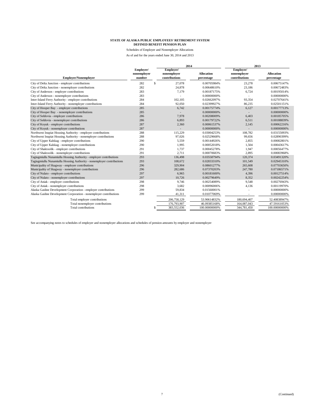Schedules of Employer and Nonemployer Allocations As of and for the years ended June 30, 2014 and 2013

|                                                                       |                                    |     |                                           | 2014                            | 2013                                      |                                 |  |
|-----------------------------------------------------------------------|------------------------------------|-----|-------------------------------------------|---------------------------------|-------------------------------------------|---------------------------------|--|
| <b>Employer/Nonemployer</b>                                           | Employer/<br>nonemployer<br>number |     | Employer/<br>nonemployer<br>contributions | <b>Allocation</b><br>percentage | Employer/<br>nonemployer<br>contributions | <b>Allocation</b><br>percentage |  |
| City of Delta Junction - employer contributions                       | 282                                | \$. | 27.078                                    | 0.00705984%                     | 23.278                                    | 0.00675147%                     |  |
| City of Delta Junction - nonemployer contributions                    | 282                                |     | 24.878                                    | 0.00648610%                     | 23.186                                    | 0.00672483%                     |  |
| City of Anderson - employer contributions                             | 283                                |     | 7.179                                     | 0.00187175%                     | 6.724                                     | 0.00195014%                     |  |
| City of Anderson - nonemployer contributions                          | 283                                |     |                                           | 0.00000000%                     |                                           | 0.00000000%                     |  |
| Inter-Island Ferry Authority - employer contributions                 | 284                                |     | 102.105                                   | 0.02662097%                     | 93.354                                    | 0.02707641%                     |  |
| Inter-Island Ferry Authority - nonemployer contributions              | 284                                |     | 92,050                                    | 0.02399927%                     | 86,235                                    | 0.02501151%                     |  |
| City of Hooper Bay - employer contributions                           | 285                                |     | 6.742                                     | 0.00175774%                     | 6.127                                     | 0.00177713%                     |  |
| City of Hooper Bay - nonemployer contributions                        | 285                                |     |                                           | 0.00000000%                     |                                           | 0.00000000%                     |  |
| City of Seldovia - employer contributions                             | 286                                |     | 7,978                                     | 0.00208009%                     | 6.403                                     | 0.00185705%                     |  |
| City of Seldovia - nonemployer contributions                          | 286                                |     | 6,893                                     | 0.00179722%                     | 6.511                                     | 0.00188839%                     |  |
| City of Koyuk - employer contributions                                | 287                                |     | 2,360                                     | 0.00061537%                     | 2.145                                     | 0.00062216%                     |  |
| City of Koyuk - nonemployer contributions                             | 287                                |     |                                           | 0.00000000%                     |                                           | 0.00000000%                     |  |
| Northwest Inupiat Housing Authority - employer contributions          | 288                                |     | 115,229                                   | 0.03004253%                     | 108.782                                   | 0.03155093%                     |  |
| Northwest Inupiat Housing Authority - nonemployer contributions       | 288                                |     | 97,026                                    | 0.02529668%                     | 99.656                                    | 0.02890399%                     |  |
| City of Upper Kalskag - employer contributions                        | 290                                |     | 5,559                                     | 0.00144926%                     | 2,855                                     | 0.00082801%                     |  |
| City of Upper Kalskag - nonemployer contributions                     | 290                                |     | 1,995                                     | 0.00052018%                     | 1,504                                     | 0.00043617%                     |  |
| City of Shaktoolik - employer contributions                           | 291                                |     | 1,737                                     | 0.00045278%                     | 1.947                                     | 0.00056477%                     |  |
| City of Shaktoolik - nonemployer contributions                        | 291                                |     | 2,711                                     | 0.00070683%                     | 2,895                                     | 0.00083968%                     |  |
| Tagiugmiullu Nunamiullu Housing Authority - employer contributions    | 293                                |     | 136,498                                   | 0.03558794%                     | 120,374                                   | 0.03491320%                     |  |
| Tagiugmiullu Nunamiullu Housing Authority - nonemployer contributions | 293                                |     | 108,672                                   | 0.02833310%                     | 101.549                                   | 0.02945310%                     |  |
| Municipality of Skagway - employer contributions                      | 296                                |     | 329,904                                   | 0.08601277%                     | 265,608                                   | 0.07703650%                     |  |
| Municipality of Skagway - nonemployer contributions                   | 296                                |     | 282,686                                   | 0.07370203%                     | 247,780                                   | 0.07186571%                     |  |
| City of Nulato - employer contributions                               | 297                                |     | 6,965                                     | 0.00181600%                     | 4.396                                     | 0.00127514%                     |  |
| City of Nulato - nonemployer contributions                            | 297                                |     | 10.726                                    | 0.00279649%                     | 8.352                                     | 0.00242254%                     |  |
| City of Aniak - employer contributions                                | 298                                |     | 9,746                                     | 0.00254089%                     | 9.548                                     | 0.00276943%                     |  |
| City of Aniak - nonemployer contributions                             | 298                                |     | 3.682                                     | 0.00096006%                     | 4,136                                     | 0.00119970%                     |  |
| Alaska Gasline Development Corporation - employer contributions       | 299                                |     | 59,834                                    | 0.01560001%                     |                                           | 0.00000000%                     |  |
| Alaska Gasline Development Corporation - nonemployer contributions    | 299                                |     | 41,311                                    | 0.01077069%                     |                                           | 0.00000000%                     |  |
| Total employer contributions                                          |                                    |     | 206,758,129                               | 53.90614832%                    | 180,694,407                               | 52.40838947%                    |  |
| Total nonemployer contributions                                       |                                    |     | 176,793,907                               | 46.09385168%                    | 164,087,043                               | 47.59161053%                    |  |
| Total contributions                                                   |                                    |     | 383,552,036                               | 100.00000000%                   | 344,781,450                               | 100.00000000%                   |  |

See accompanying notes to schedules of employer and nonemployer allocations and schedules of pension amounts by employer and nonemployer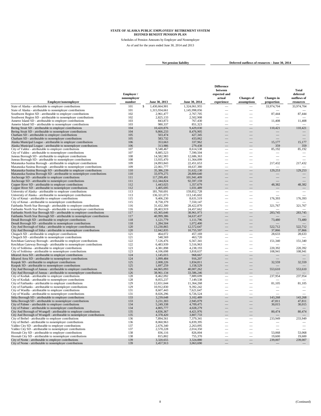Schedules of Pension Amounts by Employer and Nonemployer As of and for the years ended June 30, 2014 and 2013

**Net pension liability Deferred outflows of resources - June 30, 2014** 

**Difference**

|                                                                                                                                             |             |   |                          |                          | between                  |                          |                          | <b>Total</b> |
|---------------------------------------------------------------------------------------------------------------------------------------------|-------------|---|--------------------------|--------------------------|--------------------------|--------------------------|--------------------------|--------------|
|                                                                                                                                             | Employer /  |   |                          |                          | expected and             |                          |                          | deferred     |
|                                                                                                                                             | nonemployer |   |                          |                          | actual                   | <b>Changes</b> of        | <b>Changes</b> in        | outflows of  |
| Employer/nonemployer                                                                                                                        | number      |   | June 30, 2013            | June 30, 2014            | experience               | assumptions              | proportion               | resources    |
| State of Alaska - attributable to employer contributions                                                                                    | 101         | S | 1,430,664,901            | 1,324,061,955            |                          |                          | 33,974,704               | 33,974,704   |
| State of Alaska - attributable to nonemployer contributions                                                                                 | 101         |   | 1,315,934,661            | 1,145,998,056            |                          |                          |                          |              |
| Southwest Region SD - attributable to employer contributions                                                                                | 102         |   | 2,961,477                | 2,767,705                |                          | -                        | 87,444                   | 87,444       |
| Southwest Region SD - attributable to nonemployer contributions                                                                             | 102         |   | 2,825,133                | 2,502,908                |                          |                          |                          |              |
| Annette Island SD - attributable to employer contributions<br>Annette Island SD - attributable to nonemployer contributions                 | 103<br>103  |   | 843,873<br>980,337       | 767,430<br>851,323       |                          |                          | 11,408                   | 11,408       |
| Bering Strait SD - attributable to employer contributions                                                                                   | 104         |   | 10,420,876               | 9.429.030                |                          |                          | 110,421                  | 110,421      |
| Bering Strait SD - attributable to nonemployer contributions                                                                                | 104         |   | 9,866,233                | 8,476,905                |                          |                          |                          |              |
| Chatham SD - attributable to employer contributions                                                                                         | 105         |   | 503,474                  | 427,345                  |                          |                          |                          |              |
| Chatham SD - attributable to nonemployer contributions                                                                                      | 105         |   | 583,732                  | 433,062                  |                          |                          |                          |              |
| Alaska Municipal League - attributable to employer contributions                                                                            | 106         |   | 353,663                  | 337,962                  |                          |                          | 15,177                   | 15,177       |
| Alaska Municipal League - attributable to nonemployer contributions                                                                         | 106         |   | 313,986                  | 279,438                  |                          |                          | 359                      | 359          |
| City of Valdez - attributable to employer contributions                                                                                     | 107         |   | 9,548,467                | 8,614,538                |                          |                          | 85,192                   | 85,192       |
| City of Valdez - attributable to nonemployer contributions                                                                                  | 107         |   | 8,885,523                | 7,590,504                |                          |                          |                          |              |
| Juneau Borough SD - attributable to employer contributions                                                                                  | 108         |   | 14,582,983               | 12,686,363               |                          |                          | $\overline{\phantom{0}}$ |              |
| Juneau Borough SD - attributable to nonemployer contributions<br>Matanuska-Susitna Borough - attributable to employer contributions         | 108<br>109  |   | 13.935.470<br>24,893,843 | 11.364.099<br>22,451,653 | $\overline{\phantom{0}}$ | $\overline{\phantom{0}}$ | 217,432                  | 217,432      |
| Matanuska-Susitna Borough - attributable to nonemployer contributions                                                                       | 109         |   | 22,061,777               | 18,637,380               |                          |                          |                          |              |
| Matanuska-Susitna Borough SD - attributable to employer contributions                                                                       | 110         |   | 35,386,239               | 31,632,130               |                          | L.                       | 129,253                  | 129,253      |
| Matanuska-Susitna Borough SD - attributable to nonemployer contributions                                                                    | 110         |   | 33,979,275               | 28,809,640               |                          |                          |                          |              |
| Anchorage SD - attributable to employer contributions                                                                                       | 111         |   | 117,299,491              | 101,941,409              |                          |                          |                          |              |
| Anchorage SD - attributable to nonemployer contributions                                                                                    | 111         |   | 112,344,824              | 92,597,159               |                          |                          |                          |              |
| Copper River SD - attributable to employer contributions                                                                                    | 112         |   | 1,443,025                | 1,357,679                |                          |                          | 48,382                   | 48,382       |
| Copper River SD - attributable to nonemployer contributions                                                                                 | 112         |   | 1,405,695                | 1,031,489                |                          |                          |                          |              |
| University of Alaska - attributable to employer contributions                                                                               | 113         |   | 181,760,691              | 159,852,728              | -                        | -                        |                          |              |
| University of Alaska - attributable to nonemployer contributions                                                                            | 113         |   | 136,321,073              | 113,145,602              | $\overline{\phantom{0}}$ | $\overline{\phantom{0}}$ |                          |              |
| City of Kenai - attributable to employer contributions                                                                                      | 115         |   | 9,406,230                | 8,631,519                | -                        | $\overline{\phantom{0}}$ | 176,393                  | 176,393      |
| City of Kenai - attributable to nonemployer contributions<br>Fairbanks North Star Borough - attributable to employer contributions          | 115<br>116  |   | 8,758,379<br>31,432,300  | 7,550,147<br>28,422,870  |                          | $\overline{\phantom{a}}$ | 321,767                  | 321,767      |
| Fairbanks North Star Borough - attributable to nonemployer contributions                                                                    | 116         |   | 28,403,919               | 24,457,662               |                          |                          |                          |              |
| Fairbanks North Star Borough SD - attributable to employer contributions                                                                    | 117         |   | 43,365,646               | 38,961,973               |                          |                          | 283,745                  | 283,745      |
| Fairbanks North Star Borough SD - attributable to nonemployer contributions                                                                 | 117         |   | 40,999,386               | 34,637,437               |                          |                          |                          |              |
| Denali Borough SD - attributable to employer contributions                                                                                  | 118         |   | 1,121,779                | 1,111,796                |                          |                          | 73,480                   | 73,480       |
| Denali Borough SD - attributable to nonemployer contributions                                                                               | 118         |   | 1,284,504                | 1,072,400                |                          |                          |                          |              |
| City And Borough of Sitka - attributable to employer contributions                                                                          | 120         |   | 13,230,865               | 12,572,647               |                          | $\overline{\phantom{0}}$ | 522,712                  | 522,712      |
| City And Borough of Sitka - attributable to nonemployer contributions                                                                       | 120         |   | 12,042,835               | 10,755,597               |                          |                          | 37,866                   | 37,866       |
| Chugach SD - attributable to employer contributions                                                                                         | 121         |   | 464,072                  | 457,169                  |                          | -                        | 28,633                   | 28,633       |
| Chugach SD - attributable to nonemployer contributions                                                                                      | 121         |   | 548,569                  | 463,720                  |                          |                          |                          |              |
| Ketchikan Gateway Borough - attributable to employer contributions<br>Ketchikan Gateway Borough - attributable to nonemployer contributions | 122<br>122  |   | 7,126,476<br>6,483,939   | 6,567,341<br>5,516,963   |                          |                          | 151,340                  | 151,340      |
| City of Soldotna - attributable to employer contributions                                                                                   | 123         |   | 4,381,898                | 4,238,193                |                          | $\overline{\phantom{0}}$ | 220,392                  | 220,392      |
| City of Soldotna - attributable to nonemployer contributions                                                                                | 123         |   | 4.106.698                | 3,818,637                | $\overline{\phantom{0}}$ |                          | 108,941                  | 108,941      |
| Iditarod Area SD - attributable to employer contributions                                                                                   | 124         |   | 1,145,015                | 968,667                  |                          |                          |                          |              |
| Iditarod Area SD - attributable to nonemployer contributions                                                                                | 124         |   | 1,099,484                | 916,207                  |                          |                          |                          |              |
| Kuspuk SD - attributable to employer contributions                                                                                          | 125         |   | 2,008,226                | 1,834,811                |                          |                          | 32,559                   | 32,559       |
| Kuspuk SD - attributable to nonemployer contributions                                                                                       | 125         |   | 1,697,259                | 1,158,529                |                          |                          |                          |              |
| City And Borough of Juneau - attributable to employer contributions                                                                         | 126         |   | 44,065,093               | 40,007,262               |                          |                          | 553,610                  | 553,610      |
| City And Borough of Juneau - attributable to nonemployer contributions                                                                      | 126         |   | 38,961,134               | 33,586,246               |                          |                          |                          |              |
| City of Kodiak - attributable to employer contributions                                                                                     | 128         |   | 8,462,092                | 7,889,699                | $\overline{\phantom{0}}$ | -                        | 237,954                  | 237,954      |
| City of Kodiak - attributable to nonemployer contributions<br>City of Fairbanks - attributable to employer contributions                    | 128<br>129  |   | 8,055,237<br>12,651,644  | 7,149,538<br>11,364,268  | $\overline{\phantom{0}}$ | $\overline{\phantom{0}}$ | 81,105                   | 81,105       |
| City of Fairbanks - attributable to nonemployer contributions                                                                               | 129         |   | 10,912,830               | 9,392,242                |                          |                          |                          |              |
| City of Wasilla - attributable to employer contributions                                                                                    | 131         |   | 8,607,443                | 7,621,647                | $\overline{\phantom{0}}$ | $\overline{\phantom{0}}$ | $\overline{\phantom{0}}$ | $\sim$       |
| City of Wasilla - attributable to nonemployer contributions                                                                                 | 131         |   | 8,026,296                | 6,726,524                |                          |                          |                          |              |
| Sitka Borough SD - attributable to employer contributions                                                                                   | 133         |   | 3,239,648                | 3,102,489                |                          |                          | 143,268                  | 143,268      |
| Sitka Borough SD - attributable to nonemployer contributions                                                                                | 133         |   | 3,231,303                | 2,945,079                |                          |                          | 47,811                   | 47,811       |
| City of Palmer - attributable to employer contributions                                                                                     | 134         |   | 5,249,338                | 4,709,475                |                          |                          | 30,015                   | 30,015       |
| City of Palmer - attributable to nonemployer contributions                                                                                  | 134         |   | 4,805,777                | 4.028.279                |                          |                          |                          |              |
| City And Borough of Wrangell - attributable to employer contributions                                                                       | 135         |   | 4,836,367                | 4,421,976                |                          |                          | 80,474                   | 80,474       |
| City And Borough of Wrangell - attributable to nonemployer contributions                                                                    | 135         |   | 4,378,420                | 3,807,733                |                          |                          |                          |              |
| City of Bethel - attributable to employer contributions                                                                                     | 136         |   | 7,894,561                | 7,379,341                |                          |                          | 233,949                  | 233,949      |
| City of Bethel - attributable to nonemployer contributions                                                                                  | 136<br>137  |   | 8,060,963                | 6,839,395<br>2,263,095   |                          |                          |                          |              |
| Valdez City SD - attributable to employer contributions<br>Valdez City SD - attributable to nonemployer contributions                       | 137         |   | 2,676,340<br>2,570,228   | 2,014,350                |                          |                          |                          |              |
| Hoonah City SD - attributable to employer contributions                                                                                     | 138         |   | 836,116                  | 826,004                  |                          |                          | 53,068                   | 53,068       |
| Hoonah City SD - attributable to nonemployer contributions                                                                                  | 138         |   | 815,802                  | 755,370                  |                          |                          | 19,600                   | 19,600       |
| City of Nome - attributable to employer contributions                                                                                       | 139         |   | 3,320,655                | 3,324,880                |                          |                          | 239,007                  | 239,007      |
| City of Nome - attributable to nonemployer contributions                                                                                    | 139         |   | 3,457,913                | 3,063,690                |                          |                          |                          |              |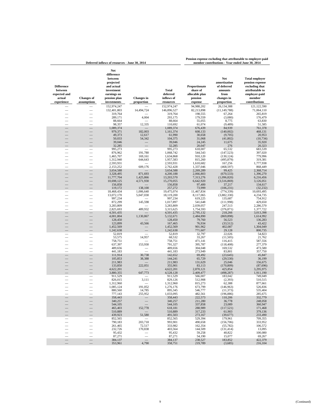|                                                                      |                                  | Deferred inflows of resources - June 30, 2014                                                                       |                                 | member contributions - Year ended June 30, 2014     |                                                                   |                                                                                          |                                                                                                                           |
|----------------------------------------------------------------------|----------------------------------|---------------------------------------------------------------------------------------------------------------------|---------------------------------|-----------------------------------------------------|-------------------------------------------------------------------|------------------------------------------------------------------------------------------|---------------------------------------------------------------------------------------------------------------------------|
| <b>Difference</b><br>between<br>expected and<br>actual<br>experience | <b>Changes of</b><br>assumptions | Net<br>difference<br>between<br>projected<br>and actual<br>investment<br>earnings on<br>pension plan<br>investments | <b>Changes</b> in<br>proportion | <b>Total</b><br>deferred<br>inflows of<br>resources | Proportionate<br>share of<br>allocable plan<br>pension<br>expense | <b>Net</b><br>amortization<br>of deferred<br>amounts<br>from<br>changes in<br>proportion | <b>Total employer</b><br>pension expense<br>excluding that<br>attributable to<br>employer-paid<br>member<br>contributions |
|                                                                      |                                  | 152,974,247<br>132,401,803                                                                                          | 14,494,724                      | 152,974,247<br>146,896,527                          | 94,988,202<br>82,213,898                                          | 26,134,388<br>(11, 149, 788)                                                             | 121,122,590<br>71,064,110                                                                                                 |
|                                                                      |                                  | 319,764                                                                                                             |                                 | 319,764                                             | 198,555                                                           | 67,264                                                                                   | 265,819                                                                                                                   |
|                                                                      |                                  | 289,171                                                                                                             | 4,004                           | 293,175                                             | 179,559                                                           | (3,080)                                                                                  | 176,479                                                                                                                   |
|                                                                      |                                  | 88,664                                                                                                              |                                 | 88,664                                              | 55,055                                                            | 8,775                                                                                    | 63,830                                                                                                                    |
|                                                                      |                                  | 98,357<br>1,089,374                                                                                                 | 12,335                          | 110,692<br>1,089,374                                | 61,074<br>676,439                                                 | (9, 489)<br>84,939                                                                       | 51,585<br>761,378                                                                                                         |
|                                                                      |                                  | 979,371                                                                                                             | 182,003                         | 1,161,374                                           | 608,133                                                           | (140,002)                                                                                | 468,131                                                                                                                   |
|                                                                      |                                  | 49,373                                                                                                              | 12,617                          | 61,990                                              | 30,658                                                            | (9,705)                                                                                  | 20,953                                                                                                                    |
|                                                                      |                                  | 50,033<br>39,046                                                                                                    | 54,342                          | 104,375<br>39,046                                   | 31,068<br>24,245                                                  | (41, 802)<br>11,675                                                                      | (10, 734)<br>35,920                                                                                                       |
|                                                                      |                                  | 32,285                                                                                                              |                                 | 32,285                                              | 20,047                                                            | 276                                                                                      | 20,323                                                                                                                    |
|                                                                      |                                  | 995,273                                                                                                             |                                 | 995,273                                             | 618,007                                                           | 65,532                                                                                   | 683,539                                                                                                                   |
|                                                                      |                                  | 876,962                                                                                                             | 191,780                         | 1,068,742                                           | 544,543                                                           | (147, 523)                                                                               | 397,020                                                                                                                   |
|                                                                      |                                  | 1,465,707<br>1,312,940                                                                                              | 169,161<br>644,643              | 1,634,868<br>1,957,583                              | 910,120<br>815,260                                                | (130, 124)<br>(495, 879)                                                                 | 779,996<br>319,381                                                                                                        |
|                                                                      |                                  | 2,593,931                                                                                                           |                                 | 2,593,931                                           | 1,610,682                                                         | 167,256                                                                                  | 1,777,938                                                                                                                 |
|                                                                      |                                  | 2,153,252                                                                                                           | 609,176                         | 2,762,428                                           | 1,337,046                                                         | (468, 597)                                                                               | 868,449                                                                                                                   |
|                                                                      |                                  | 3,654,588<br>3,328,495                                                                                              | 871,693                         | 3,654,588<br>4,200,188                              | 2,269,289<br>2,066,803                                            | 99,425<br>(670, 533)                                                                     | 2,368,714<br>1,396,270                                                                                                    |
|                                                                      |                                  | 11,777,704                                                                                                          | 1,425,866                       | 13,203,570                                          | 7,313,276                                                         | (1,096,820)                                                                              | 6,216,456                                                                                                                 |
|                                                                      |                                  | 10,698,125                                                                                                          | 4,571,930                       | 15,270,055                                          | 6,642,920                                                         | (3,516,869)                                                                              | 3,126,051                                                                                                                 |
|                                                                      |                                  | 156,858                                                                                                             | 138,100                         | 156,858                                             | 97,400                                                            | 37,217                                                                                   | 134,617                                                                                                                   |
|                                                                      |                                  | 119,172<br>18,468,434                                                                                               | 1,006,640                       | 257,272<br>19,475,074                               | 73,999<br>11,467,834                                              | (106, 231)<br>(774, 339)                                                                 | (32, 232)<br>10,693,495                                                                                                   |
|                                                                      |                                  | 13,072,170                                                                                                          | 5,047,030                       | 18,119,200                                          | 8,117,065                                                         | (3,882,330)                                                                              | 4,234,735                                                                                                                 |
|                                                                      |                                  | 997,234                                                                                                             |                                 | 997,234                                             | 619,225                                                           | 135,687                                                                                  | 754,912                                                                                                                   |
|                                                                      |                                  | 872,299<br>3,283,809                                                                                                | 145,598                         | 1,017,897<br>3,283,809                              | 541,648<br>2,039,057                                              | (111,998)<br>247,513                                                                     | 429,650<br>2,286,570                                                                                                      |
|                                                                      |                                  | 2,825,693                                                                                                           | 489,932                         | 3,315,625                                           | 1,754,593                                                         | (376, 871)                                                                               | 1,377,722                                                                                                                 |
|                                                                      |                                  | 4,501,435                                                                                                           |                                 | 4,501,435                                           | 2,795,132                                                         | 218,266                                                                                  | 3,013,398                                                                                                                 |
|                                                                      |                                  | 4,001,804<br>128,450                                                                                                | 1,130,867                       | 5,132,671                                           | 2,484,890<br>79,760                                               | (869, 898)<br>56,523                                                                     | 1,614,992<br>136,283                                                                                                      |
|                                                                      |                                  | 123,899                                                                                                             | 43,566                          | 128,450<br>167,465                                  | 76,934                                                            | (33, 512)                                                                                | 43,422                                                                                                                    |
|                                                                      |                                  | 1,452,569                                                                                                           |                                 | 1,452,569                                           | 901,962                                                           | 402,087                                                                                  | 1,304,049                                                                                                                 |
|                                                                      |                                  | 1,242,638                                                                                                           |                                 | 1,242,638                                           | 771,607                                                           | 29,128                                                                                   | 800,735                                                                                                                   |
|                                                                      |                                  | 52,819<br>53,575                                                                                                    | 14,957                          | 52,819<br>68,532                                    | 32,797<br>33,267                                                  | 22,026<br>(11, 505)                                                                      | 54,823<br>21,762                                                                                                          |
|                                                                      |                                  | 758,751                                                                                                             |                                 | 758,751                                             | 471,141                                                           | 116,415                                                                                  | 587,556                                                                                                                   |
|                                                                      |                                  | 637,397                                                                                                             | 153,930                         | 791,327                                             | 395,787                                                           | (118, 408)                                                                               | 277,379                                                                                                                   |
|                                                                      |                                  | 489,656<br>441,183                                                                                                  |                                 | 489,656<br>441,183                                  | 304,048<br>273,949                                                | 169,532<br>83,801                                                                        | 473,580<br>357,750                                                                                                        |
|                                                                      |                                  | 111,914                                                                                                             | 30,738                          | 142,652                                             | 69,492                                                            | (23, 645)                                                                                | 45,847                                                                                                                    |
|                                                                      |                                  | 105,853                                                                                                             | 38,388                          | 144,241                                             | 65,729                                                            | (29, 530)                                                                                | 36,199                                                                                                                    |
|                                                                      | $\equiv$                         | 211,983                                                                                                             | 222,051                         | 211,983                                             | 131,629<br>83,113                                                 | 25,046<br>(170, 809)                                                                     | 156,675                                                                                                                   |
|                                                                      |                                  | 133,850<br>4,622,201                                                                                                |                                 | 355,901<br>4,622,201                                | 2,870,121                                                         | 425,854                                                                                  | (87, 696)<br>3,295,975                                                                                                    |
|                                                                      |                                  | 3,880,355                                                                                                           | 647,773                         | 4,528,128                                           | 2,409,477                                                         | (498, 287)                                                                               | 1,911,190                                                                                                                 |
|                                                                      |                                  | 911,529                                                                                                             |                                 | 911,529                                             | 566,007                                                           | 183,042                                                                                  | 749,049                                                                                                                   |
|                                                                      |                                  | 826,015<br>1,312,960                                                                                                | 3,111                           | 829,126<br>1,312,960                                | 512,908<br>815,273                                                | (2, 393)<br>62,388                                                                       | 510,515<br>877,661                                                                                                        |
|                                                                      |                                  | 1,085,124                                                                                                           | 191,052                         | 1,276,176                                           | 673,799                                                           | (146, 963)                                                                               | 526,836                                                                                                                   |
|                                                                      |                                  | 880,560                                                                                                             | 14,785                          | 895,345                                             | 546,777                                                           | (11, 373)                                                                                | 535,404                                                                                                                   |
|                                                                      |                                  | 777,143<br>358,443                                                                                                  | 255,952                         | 1,033,095<br>358,443                                | 482,561<br>222,573                                                | (196, 886)<br>110,206                                                                    | 285,675<br>332,779                                                                                                        |
|                                                                      |                                  | 340,257                                                                                                             |                                 | 340,257                                             | 211,280                                                           | 36,778                                                                                   | 248,058                                                                                                                   |
|                                                                      |                                  | 544,105                                                                                                             |                                 | 544,105                                             | 337,858                                                           | 23,089                                                                                   | 360,947                                                                                                                   |
|                                                                      |                                  | 465,403                                                                                                             | 152,778                         | 618,181<br>510,889                                  | 288,989                                                           | (117, 521)                                                                               | 171,468                                                                                                                   |
|                                                                      |                                  | 510,889<br>439,923                                                                                                  | 51,580                          | 491,503                                             | 317,233<br>273,167                                                | 61,903<br>(39, 677)                                                                      | 379,136<br>233,490                                                                                                        |
|                                                                      |                                  | 852,565                                                                                                             |                                 | 852,565                                             | 529,394                                                           | 179,961                                                                                  | 709,355                                                                                                                   |
|                                                                      |                                  | 790,183                                                                                                             | 203,718                         | 993,901                                             | 490,658                                                           | (156, 706)                                                                               | 333,952                                                                                                                   |
|                                                                      |                                  | 261,465<br>232,726                                                                                                  | 72,517<br>170,838               | 333,982<br>403,564                                  | 162,354<br>144,509                                                | (55, 782)<br>(131, 414)                                                                  | 106,572<br>13,095                                                                                                         |
|                                                                      |                                  | 95,432                                                                                                              |                                 | 95,432                                              | 59,258                                                            | 40,822                                                                                   | 100,080                                                                                                                   |
|                                                                      |                                  | 87,271                                                                                                              |                                 | 87,271                                              | 54,190                                                            | 15,077                                                                                   | 69,267                                                                                                                    |
| $\equiv$                                                             | $\equiv$                         | 384,137<br>353,961                                                                                                  | $\equiv$<br>4,790               | 384,137<br>358,751                                  | 238,527<br>219,789                                                | 183,852<br>(3,685)                                                                       | 422,379<br>216,104                                                                                                        |
|                                                                      |                                  |                                                                                                                     |                                 |                                                     |                                                                   |                                                                                          |                                                                                                                           |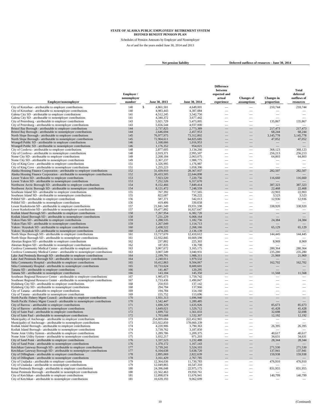Schedules of Pension Amounts by Employer and Nonemployer As of and for the years ended June 30, 2014 and 2013

 $\overline{a}$ 

**Net pension liability Deferred outflows of resources - June 30, 2014**

**Difference**

|                                                                                                                                                               |                       |                              |                          | between                  |                                        |                                 | Total                    |
|---------------------------------------------------------------------------------------------------------------------------------------------------------------|-----------------------|------------------------------|--------------------------|--------------------------|----------------------------------------|---------------------------------|--------------------------|
|                                                                                                                                                               | Employer /            |                              |                          | expected and             |                                        |                                 | deferred                 |
| <b>Employer/nonemployer</b>                                                                                                                                   | nonemployer<br>number | June 30, 2013                | June 30, 2014            | actual<br>experience     | <b>Changes of</b><br>assumptions       | <b>Changes</b> in<br>proportion | outflows of<br>resources |
|                                                                                                                                                               | 140                   |                              | 4,649,001                |                          |                                        | 210,744                         |                          |
| City of Kotzebue - attributable to employer contributions<br>City of Kotzebue - attributable to nonemployer contributions                                     | 140                   | \$<br>4,861,501<br>4,983,443 | 4,387,084                | $\overline{\phantom{0}}$ |                                        |                                 | 210,744                  |
| Galena City SD - attributable to employer contributions                                                                                                       | 141                   | 4,512,245                    | 3,542,756                | -                        |                                        | $\overline{\phantom{a}}$        |                          |
| Galena City SD - attributable to nonemployer contributions                                                                                                    | 141                   | 4,340,372                    | 3,677,442                |                          |                                        |                                 |                          |
| City of Petersburg - attributable to employer contributions                                                                                                   | 143                   | 5,921,729                    | 5,473,005                |                          |                                        | 135,867                         | 135,867                  |
| City of Petersburg - attributable to nonemployer contributions<br>Bristol Bay Borough - attributable to employer contributions                                | 143<br>144            | 5,656,544<br>2,737,825       | 4.937.000<br>2,773,389   |                          |                                        | 217,473                         | 217,473                  |
| Bristol Bay Borough - attributable to nonemployer contributions                                                                                               | 144                   | 2,646,694                    | 2,457,953                |                          |                                        | 68,244                          | 68,244                   |
| North Slope Borough - attributable to employer contributions                                                                                                  | 145                   | 76,977,975                   | 73,312,802               |                          |                                        | 3,145,778                       | 3,145,778                |
| North Slope Borough - attributable to nonemployer contributions                                                                                               | 145                   | 72,904,611                   | 64,825,685               |                          |                                        | 47,052                          | 47,052                   |
| Wrangell Public SD - attributable to employer contributions                                                                                                   | 146                   | 1,168,666                    | 1,016,953                |                          |                                        |                                 |                          |
| Wrangell Public SD - attributable to nonemployer contributions<br>City of Cordova - attributable to employer contributions                                    | 146<br>148            | 1,176,352<br>2,877,605       | 954,021<br>3,134,266     |                          |                                        | 368,123                         | 368,123                  |
| City of Cordova - attributable to nonemployer contributions                                                                                                   | 148                   | 2,919,371                    | 2,995,507                |                          |                                        | 256,213                         | 256,213                  |
| Nome City SD - attributable to employer contributions                                                                                                         | 149                   | 2.208.184                    | 2,063,075                |                          |                                        | 64,803                          | 64,803                   |
| Nome City SD - attributable to nonemployer contributions                                                                                                      | 149                   | 2,367,237                    | 1,988,775                |                          |                                        |                                 |                          |
| City of King Cove - attributable to employer contributions                                                                                                    | 151                   | 1,326,995                    | 1,176,987                |                          |                                        |                                 |                          |
| City of King Cove - attributable to nonemployer contributions                                                                                                 | 151                   | 1,255,223                    | 1,058,396                |                          |                                        |                                 |                          |
| Alaska Housing Finance Corporation - attributable to employer contributions<br>Alaska Housing Finance Corporation - attributable to nonemployer contributions | 152<br>152            | 31,439,910<br>26,433,505     | 28,367,937<br>22,644,898 |                          |                                        | 282,507                         | 282,507                  |
| Lower Yukon SD - attributable to employer contributions                                                                                                       | 153                   | 7,923,520                    | 7,220,756                |                          |                                        | 116,660                         | 116,660                  |
| Lower Yukon SD - attributable to nonemployer contributions                                                                                                    | 153                   | 7,252,526                    | 6,317,670                |                          |                                        |                                 |                          |
| Northwest Arctic Borough SD - attributable to employer contributions                                                                                          | 154                   | 8,152,466                    | 7,849,414                |                          |                                        | 387,323                         | 387,323                  |
| Northwest Arctic Borough SD - attributable to nonemployer contributions                                                                                       | 154                   | 8,121,472                    | 7,248,559                |                          |                                        | 22,468                          | 22,468                   |
| Southeast Island SD - attributable to employer contributions                                                                                                  | 155                   | 767,392                      | 717,565                  | $\overline{\phantom{0}}$ | $\overline{\phantom{0}}$               | 22,903                          | 22,903                   |
| Southeast Island SD - attributable to nonemployer contributions<br>Pribilof SD - attributable to employer contributions                                       | 155<br>156            | 822,687<br>587,371           | 736,222<br>542,013       |                          |                                        | 3,523<br>12,936                 | 3,523<br>12,936          |
| Pribilof SD - attributable to nonemployer contributions                                                                                                       | 156                   | 419,406                      | 330,658                  |                          |                                        |                                 |                          |
| Lower Kuskokwim SD - attributable to employer contributions                                                                                                   | 157                   | 21,841,549                   | 19,931,598               |                          |                                        | 338,920                         | 338,920                  |
| Lower Kuskokwim SD - attributable to nonemployer contributions                                                                                                | 157                   | 19,477,892                   | 16,927,647               | $\overline{\phantom{a}}$ | $\overline{\phantom{a}}$               |                                 |                          |
| Kodiak Island Borough SD - attributable to employer contributions                                                                                             | 158                   | 7,267,954                    | 6.382.720                |                          |                                        |                                 |                          |
| Kodiak Island Borough SD - attributable to nonemployer contributions                                                                                          | 158                   | 7,231,229                    | 6,068,164                |                          |                                        |                                 |                          |
| Yukon Flats SD - attributable to employer contributions<br>Yukon Flats SD - attributable to nonemployer contributions                                         | 159<br>159            | 1,288,535<br>1,267,049       | 1,182,756<br>1,114,713   |                          |                                        | 24,384                          | 24,384                   |
| Yukon / Koyukuk SD - attributable to employer contributions                                                                                                   | 160                   | 2.438.522                    | 2.268.166                |                          |                                        | 65,129                          | 65,129                   |
| Yukon / Koyukuk SD - attributable to nonemployer contributions                                                                                                | 160                   | 2,474,206                    | 2,136,139                |                          |                                        |                                 |                          |
| North Slope Borough SD - attributable to employer contributions                                                                                               | 161                   | 13,717,670                   | 12,410,612               | $\mathcal{L}$            |                                        | 144,445                         | 144,445                  |
| North Slope Borough SD - attributable to nonemployer contributions                                                                                            | 161                   | 12,932,845                   | 10,669,598               |                          |                                        |                                 |                          |
| Aleutian Region SD - attributable to employer contributions                                                                                                   | 162                   | 237,802                      | 225,303                  |                          |                                        | 8,969                           | 8,969                    |
| Aleutian Region SD - attributable to nonemployer contributions<br>Cordova Community Medical Center - attributable to employer contributions                   | 162<br>163            | 187,835<br>3,067,672         | 136,708<br>3,165,175     |                          |                                        | 280,364                         | 280,364                  |
| Cordova Community Medical Center - attributable to nonemployer contributions                                                                                  | 163                   | 3,007,549                    | 3,040,931                |                          |                                        | 235,280                         | 235,280                  |
| Lake And Peninsula Borough SD - attributable to employer contributions                                                                                        | 164                   | 2,199,791                    | 1,988,311                |                          |                                        | 21,969                          | 21,969                   |
| Lake And Peninsula Borough SD - attributable to nonemployer contributions                                                                                     | 164                   | 2,240,011                    | 1,979,532                |                          |                                        |                                 |                          |
| Sitka Community Hospital - attributable to employer contributions                                                                                             | 165                   | 10,412,863                   | 9,504,067                |                          |                                        | 162,702                         | 162,702                  |
| Sitka Community Hospital - attributable to nonemployer contributions                                                                                          | 165                   | 10,733,624                   | 8,600,601                |                          |                                        |                                 |                          |
| Tanana SD - attributable to employer contributions<br>Tanana SD - attributable to nonemployer contributions                                                   | 166<br>166            | 141,467<br>143,184           | 120,295<br>145,350       |                          |                                        | 11,568                          | 11,568                   |
| Southeast Regional Resource Center - attributable to employer contributions                                                                                   | 167                   | 1,995,673                    | 1,759,742                |                          |                                        |                                 |                          |
| Southeast Regional Resource Center - attributable to nonemployer contributions                                                                                | 167                   | 1,733,436                    | 1,490,847                |                          |                                        |                                 |                          |
| Hydaburg City SD - attributable to employer contributions                                                                                                     | 168                   | 250,933                      | 137,142                  |                          |                                        |                                 |                          |
| Hydaburg City SD - attributable to nonemployer contributions                                                                                                  | 168                   | 294,794                      | 137,966                  |                          |                                        |                                 | $\overline{\phantom{0}}$ |
| City of Tanana - attributable to employer contributions<br>City of Tanana - attributable to nonemployer contributions                                         | 169<br>169            | 194,784<br>155,752           | 154,160<br>113,696       |                          |                                        |                                 |                          |
| North Pacific Fishery Mgmt Council - attributable to employer contributions                                                                                   | 170                   | 1,931,313                    | 1,696,940                |                          |                                        |                                 |                          |
| North Pacific Fishery Mgmt Council - attributable to nonemployer contributions                                                                                | 170                   | 1.542.447                    | 1.289.485                |                          |                                        |                                 |                          |
| City of Barrow - attributable to employer contributions                                                                                                       | 171                   | 1,690,329                    | 1,635,926                |                          |                                        | 85,673                          | 85,673                   |
| City of Barrow - attributable to nonemployer contributions                                                                                                    | 171                   | 1.649.021                    | 1.529.712                |                          |                                        | 41,428                          | 41,428                   |
| City of Saint Paul - attributable to employer contributions                                                                                                   | 172                   | 1,699,732                    | 1,561,033                |                          |                                        | 32,698                          | 32,698                   |
| City of Saint Paul - attributable to nonemployer contributions<br>Municipality of Anchorage - attributable to employer contributions                          | 172<br>173            | 1,703,668<br>254,009,684     | 1.532.307<br>222,452,965 | $\overline{\phantom{0}}$ |                                        | 12,192                          | 12,192                   |
| Municipality of Anchorage - attributable to nonemployer contributions                                                                                         | 173                   | 215,922,850                  | 178,660,339              |                          |                                        |                                 |                          |
| Kodiak Island Borough - attributable to employer contributions                                                                                                | 174                   | 4,220,906                    | 3,790,363                |                          |                                        | 26,395                          | 26,395                   |
| Kodiak Island Borough - attributable to nonemployer contributions                                                                                             | 174                   | 3,739,762                    | 3,187,850                |                          | $\overline{\phantom{m}}$               |                                 |                          |
| Nome Joint Utility System - attributable to employer contributions                                                                                            | 175                   | 1,289,786                    | 1,209,375                | $\overline{\phantom{0}}$ | $\overline{\phantom{a}}$               | 40,617                          | 40,617                   |
| Nome Joint Utility System - attributable to nonemployer contributions                                                                                         | 175                   | 1,032,217                    | 971,203                  |                          |                                        | 34,631                          | 34,631                   |
| City of Sand Point - attributable to employer contributions<br>City of Sand Point - attributable to nonemployer contributions                                 | 176<br>176            | 1,337,523<br>1,370,172       | 1,232,488<br>1.167.143   | $\equiv$                 | $\qquad \qquad -$<br>$\qquad \qquad -$ | 28,344                          | 28,344                   |
| Ketchikan Gateway Borough SD - attributable to employer contributions                                                                                         | 177                   | 5,739,241                    | 5,524,103                |                          |                                        | 271,530                         | 271,530                  |
| Ketchikan Gateway Borough SD - attributable to nonemployer contributions                                                                                      | 177                   | 6,104,638                    | 5,638,720                |                          |                                        | 137,941                         | 137,941                  |
| City of Dillingham - attributable to employer contributions                                                                                                   | 178                   | 2,895,069                    | 2,822,639                | -                        |                                        | 159,938                         | 159,938                  |
| City of Dillingham - attributable to nonemployer contributions                                                                                                | 178                   | 3,161,429                    | 2,767,785                |                          |                                        |                                 |                          |
| City of Unalaska - attributable to employer contributions                                                                                                     | 179<br>179            | 12,364,036                   | 11,730,783               | $\overline{\phantom{0}}$ | $\overline{\phantom{a}}$               | 476,910                         | 476,910                  |
| City of Unalaska - attributable to nonemployer contributions<br>Kenai Peninsula Borough - attributable to employer contributions                              | 180                   | 12,049,865<br>24,396,048     | 10,547,310<br>22,975,175 | $\overline{\phantom{0}}$ | $\overline{\phantom{m}}$               | 831,955                         | 831,955                  |
| Kenai Peninsula Borough - attributable to nonemployer contributions                                                                                           | 180                   | 22,562,463                   | 19,950,761               |                          |                                        |                                 |                          |
| City of Ketchikan - attributable to employer contributions                                                                                                    | 181                   | 12,898,074                   | 11,676,941               | $\overline{\phantom{0}}$ | $\overline{\phantom{m}}$               | 140,799                         | 140,799                  |
| City of Ketchikan - attributable to nonemployer contributions                                                                                                 | 181                   | 10,639,193                   | 9,062,699                | $\overline{\phantom{0}}$ |                                        |                                 |                          |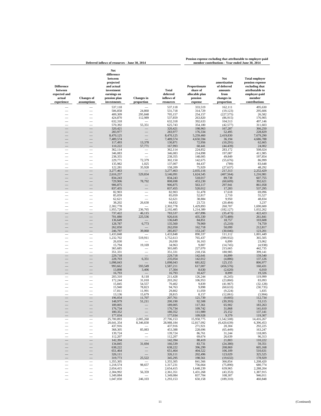|                                                                      |                                  | Deferred inflows of resources - June 30, 2014                                                                       | member contributions - Year ended June 30, 2014 |                                              |                                                                   |                                                                                   |                                                                                                                           |
|----------------------------------------------------------------------|----------------------------------|---------------------------------------------------------------------------------------------------------------------|-------------------------------------------------|----------------------------------------------|-------------------------------------------------------------------|-----------------------------------------------------------------------------------|---------------------------------------------------------------------------------------------------------------------------|
| <b>Difference</b><br>between<br>expected and<br>actual<br>experience | <b>Changes</b> of<br>assumptions | Net<br>difference<br>between<br>projected<br>and actual<br>investment<br>earnings on<br>pension plan<br>investments | <b>Changes</b> in<br>proportion                 | Total<br>deferred<br>inflows of<br>resources | Proportionate<br>share of<br>allocable plan<br>pension<br>expense | Net<br>amortization<br>of deferred<br>amounts<br>from<br>changes in<br>proportion | <b>Total employer</b><br>pension expense<br>excluding that<br>attributable to<br>employer-paid<br>member<br>contributions |
|                                                                      |                                  | 537,118<br>506,858                                                                                                  | 24,860                                          | 537,118<br>531,718                           | 333,519<br>314,729                                                | 162,111<br>(19, 123)                                                              | 495,630<br>295,606                                                                                                        |
|                                                                      |                                  | 409,309                                                                                                             | 295,848                                         | 705,157                                      | 254,157                                                           | (227, 575)                                                                        | 26,582                                                                                                                    |
|                                                                      |                                  | 424,870                                                                                                             | 112,989                                         | 537,859                                      | 263,820                                                           | (86, 915)                                                                         | 176,905                                                                                                                   |
|                                                                      |                                  | 632,318<br>570,392                                                                                                  | 55,351                                          | 632,318<br>625,743                           | 392,633<br>354,180                                                | 104,513<br>(42, 577)                                                              | 497,146<br>311,603                                                                                                        |
|                                                                      | $\overline{\phantom{0}}$         | 320,421                                                                                                             |                                                 | 320,421                                      | 198,963                                                           | 167,287                                                                           | 366,250                                                                                                                   |
|                                                                      |                                  | 283,977                                                                                                             |                                                 | 283,977                                      | 176,334                                                           | 52,495                                                                            | 228,829                                                                                                                   |
|                                                                      |                                  | 8,470,125<br>7,489,574                                                                                              |                                                 | 8,470,125<br>7,489,574                       | 5,259,460<br>4,650,594                                            | 2,419,830<br>36,194                                                               | 7,679,290<br>4,686,788                                                                                                    |
|                                                                      |                                  | 117,493                                                                                                             | 13,378                                          | 130,871                                      | 72,956                                                            | (10, 291)                                                                         | 62,665                                                                                                                    |
|                                                                      |                                  | 110,222                                                                                                             | 57,771                                          | 167,993                                      | 68,441                                                            | (44, 439)                                                                         | 24,002                                                                                                                    |
| $\overline{\phantom{0}}$                                             | $\equiv$                         | 362,114<br>346,083                                                                                                  |                                                 | 362,114<br>346,083                           | 224,852<br>214,898                                                | 283,172<br>197,087                                                                | 508,024<br>411,985                                                                                                        |
|                                                                      |                                  | 238,355                                                                                                             |                                                 | 238,355                                      | 148,005                                                           | 49,849                                                                            | 197,854                                                                                                                   |
|                                                                      |                                  | 229,771                                                                                                             | 72,379                                          | 302,150                                      | 142,675                                                           | (55, 676)                                                                         | 86,999                                                                                                                    |
|                                                                      |                                  | 135,982<br>122,281                                                                                                  | 1,025<br>35,928                                 | 137,007<br>158,209                           | 84,437<br>75,929                                                  | (789)<br>(27, 637)                                                                | 83,648<br>48,292                                                                                                          |
| $\overline{\phantom{0}}$                                             | $\overline{\phantom{0}}$         | 3,277,463                                                                                                           |                                                 | 3,277,463                                    | 2,035,116                                                         | 217,313                                                                           | 2,252,429                                                                                                                 |
|                                                                      |                                  | 2,616,257<br>834,243                                                                                                | 529,834                                         | 3,146,091<br>834,243                         | 1,624,545<br>518,017                                              | (407, 564)<br>89,738                                                              | 1,216,981                                                                                                                 |
|                                                                      |                                  | 729,906                                                                                                             | 78,792                                          | 808,698                                      | 453,230                                                           | (60, 609)                                                                         | 607,755<br>392,621                                                                                                        |
|                                                                      |                                  | 906,875                                                                                                             |                                                 | 906,875                                      | 563,117                                                           | 297,941                                                                           | 861,058                                                                                                                   |
|                                                                      |                                  | 837,455<br>82,903                                                                                                   |                                                 | 837,455<br>82,903                            | 520,012<br>51,478                                                 | 17,283<br>17,618                                                                  | 537,295<br>69,096                                                                                                         |
| $\equiv$                                                             |                                  | 85,059                                                                                                              | $\equiv$                                        | 85,059                                       | 52,817                                                            | 2,710                                                                             | 55,527                                                                                                                    |
|                                                                      | $\frac{1}{1}$                    | 62,621                                                                                                              |                                                 | 62,621                                       | 38,884                                                            | 9,950                                                                             | 48,834                                                                                                                    |
|                                                                      |                                  | 38,202<br>2,302,778                                                                                                 | 26,630                                          | 64,832<br>2,302,778                          | 23,721<br>1,429,893                                               | (20, 484)<br>260,707                                                              | 3,237<br>1,690,600                                                                                                        |
|                                                                      |                                  | 1,955,720                                                                                                           | 236,765                                         | 2,192,485                                    | 1,214,389                                                         | (182, 127)                                                                        | 1,032,262                                                                                                                 |
|                                                                      |                                  | 737,422                                                                                                             | 46,115                                          | 783,537                                      | 457,896                                                           | (35, 473)                                                                         | 422,423                                                                                                                   |
|                                                                      |                                  | 701,080<br>136,649                                                                                                  | 225,536                                         | 926,616<br>136,649                           | 435,330<br>84,851                                                 | (173, 489)<br>18,757                                                              | 261,841<br>103,608                                                                                                        |
|                                                                      |                                  | 128,787                                                                                                             | 6,773                                           | 135,560                                      | 79,969                                                            | (5,210)                                                                           | 74,759                                                                                                                    |
|                                                                      |                                  | 262,050<br>246,797                                                                                                  | 39,060                                          | 262,050<br>285,857                           | 162,718<br>153,247                                                | 50,099<br>(30,046)                                                                | 212,817<br>123,201                                                                                                        |
|                                                                      |                                  | 1,433,848                                                                                                           |                                                 | 1,433,848                                    | 890,337                                                           | 111,112                                                                           | 1,001,449                                                                                                                 |
|                                                                      |                                  | 1,232,702                                                                                                           | 519,911                                         | 1,752,613                                    | 765,437                                                           | (399, 932)                                                                        | 365,505                                                                                                                   |
|                                                                      |                                  | 26,030<br>15,794                                                                                                    | 19,169                                          | 26,030<br>34,963                             | 16,163<br>9,807                                                   | 6,899<br>(14, 745)                                                                | 23,062<br>(4,938)                                                                                                         |
|                                                                      |                                  | 365,685                                                                                                             |                                                 | 365,685                                      | 227,070                                                           | 215,665                                                                           | 442,735                                                                                                                   |
|                                                                      |                                  | 351,331<br>229,718                                                                                                  |                                                 | 351,331<br>229,718                           | 218,156<br>142,641                                                | 180,985<br>16,899                                                                 | 399,141<br>159,540                                                                                                        |
|                                                                      |                                  | 228,703                                                                                                             | 6,351                                           | 235,054                                      | 142,012                                                           | (4,886)                                                                           | 137,126                                                                                                                   |
|                                                                      |                                  | 1,098,043                                                                                                           |                                                 | 1,098,043                                    | 681,822                                                           | 125,155                                                                           | 806,977                                                                                                                   |
|                                                                      |                                  | 993,662<br>13,898                                                                                                   | 593,549<br>3,406                                | 1,587,211<br>17,304                          | 617,007<br>8,630                                                  | (456, 576)<br>(2,620)                                                             | 160,431<br>6,010                                                                                                          |
|                                                                      |                                  | 16,793                                                                                                              |                                                 | 16,793                                       | 10,427                                                            | 8,899                                                                             | 19,326                                                                                                                    |
|                                                                      |                                  | 203,310                                                                                                             | 8,118                                           | 211,428                                      | 126,244                                                           | (6,245)                                                                           | 119,999                                                                                                                   |
|                                                                      |                                  | 172,244<br>15,845                                                                                                   | 31,018<br>54,557                                | 203,262<br>70,402                            | 106,953<br>9,839                                                  | (23, 860)<br>(41, 967)                                                            | 83,093<br>(32, 128)                                                                                                       |
| $\begin{array}{c} \square \\ \square \\ \square \end{array}$         |                                  | 15,940                                                                                                              | 78,823                                          | 94,763                                       | 9,898                                                             | (60, 633)                                                                         | (50, 735)                                                                                                                 |
|                                                                      | $\overline{\phantom{0}}$         | 17,811<br>13,136                                                                                                    | 11,991<br>15,679                                | 29,802<br>28,815                             | 11,059<br>8,157                                                   | (9, 224)<br>(12,061)                                                              | 1,835<br>(3,904)                                                                                                          |
|                                                                      |                                  | 196,054                                                                                                             | 11,707                                          | 207,761                                      | 121,739                                                           | (9,005)                                                                           | 112,734                                                                                                                   |
|                                                                      |                                  | 148,979                                                                                                             | 51,211                                          | 200,190                                      | 92,508                                                            | (39, 393)                                                                         | 53,115                                                                                                                    |
|                                                                      |                                  | 189,005<br>176,734                                                                                                  |                                                 | 189,005<br>176,734                           | 117,361<br>109,742                                                | 65,902<br>31,868                                                                  | 183,263<br>141,610                                                                                                        |
|                                                                      |                                  | 180,352                                                                                                             |                                                 | 180,352                                      | 111,989                                                           | 25,152                                                                            | 137,141                                                                                                                   |
|                                                                      |                                  | 177,034<br>25,700,893                                                                                               | 2,005,260                                       | 177,034<br>27,706,153                        | 109,928<br>15,958,775                                             | 9,379<br>(1,542,508)                                                              | 119,307<br>14,416,267                                                                                                     |
|                                                                      |                                  | 20,641,354                                                                                                          | 8,346,830                                       | 28,988,184                                   | 12,817,092                                                        | (6,420,639)                                                                       | 6,396,453                                                                                                                 |
|                                                                      |                                  | 437,916                                                                                                             |                                                 | 437,916                                      | 271,921                                                           | 20,304                                                                            | 292,225                                                                                                                   |
|                                                                      |                                  | 368,305<br>139,724                                                                                                  | 85,083                                          | 453,388<br>139,724                           | 228,696<br>86,761                                                 | (65, 449)<br>31,244                                                               | 163,247<br>118,005                                                                                                        |
|                                                                      |                                  | 112,207                                                                                                             |                                                 | 112,207                                      | 69,674                                                            | 26,639                                                                            | 96,313                                                                                                                    |
|                                                                      |                                  | 142,394<br>134,845                                                                                                  |                                                 | 142,394<br>166,539                           | 88,419                                                            | 21,803                                                                            | 110,222                                                                                                                   |
|                                                                      |                                  | 638,222                                                                                                             | 31,694                                          | 638,222                                      | 83,731<br>396,299                                                 | (24, 380)<br>208,869                                                              | 59,351<br>605,168                                                                                                         |
|                                                                      |                                  | 651,464                                                                                                             |                                                 | 651,464                                      | 404,522                                                           | 106,109                                                                           | 510,631                                                                                                                   |
|                                                                      |                                  | 326,111<br>319,773                                                                                                  | 25,522                                          | 326,111<br>345,295                           | 202,496<br>198,561                                                | 123,029<br>(19, 632)                                                              | 325,525<br>178,929                                                                                                        |
|                                                                      |                                  | 1,355,305                                                                                                           |                                                 | 1,355,305                                    | 841,566                                                           | 366,854                                                                           | 1,208,420                                                                                                                 |
|                                                                      |                                  | 1,218,574<br>2,654,415                                                                                              | 98,657                                          | 1,317,231<br>2,654,415                       | 756,664                                                           | (75, 890)                                                                         | 680,774                                                                                                                   |
|                                                                      | $\overline{\phantom{0}}$         | 2,304,992                                                                                                           | 56,359                                          | 2,361,351                                    | 1,648,239<br>1,431,268                                            | 639,965<br>(43, 353)                                                              | 2,288,204<br>1,387,915                                                                                                    |
|                                                                      |                                  | 1,349,084                                                                                                           |                                                 | 1,349,084                                    | 837,704                                                           | 108,307                                                                           | 946,011                                                                                                                   |

 $1,047,050$   $246,103$   $1,293,153$   $650,158$   $(189,310)$   $460,848$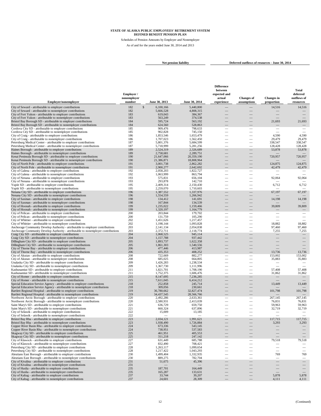Schedules of Pension Amounts by Employer and Nonemployer As of and for the years ended June 30, 2014 and 2013

**Net pension liability Deferred outflows of resources - June 30, 2014** 

| Employer/nonemployer                                                                                                                          | Employer/<br>nonemployer<br>number | June 30, 2013                           | June 30, 2014            | <b>Difference</b><br>between<br>expected and<br>actual<br>experience | <b>Changes</b> of<br>assumptions                     | <b>Changes</b> in<br>proportion | Total<br>deferred<br>outflows of<br>resources |
|-----------------------------------------------------------------------------------------------------------------------------------------------|------------------------------------|-----------------------------------------|--------------------------|----------------------------------------------------------------------|------------------------------------------------------|---------------------------------|-----------------------------------------------|
|                                                                                                                                               |                                    |                                         |                          |                                                                      |                                                      |                                 |                                               |
| City of Seward - attributable to employer contributions<br>City of Seward - attributable to nonemployer contributions                         | 182<br>182                         | $\mathcal{S}$<br>6,100,166<br>5,666,528 | 5,440,800<br>4,808,315   |                                                                      |                                                      | 14,516                          | 14,516                                        |
| City of Fort Yukon - attributable to employer contributions                                                                                   | 183                                | 619,043                                 | 384,367                  |                                                                      |                                                      |                                 |                                               |
| City of Fort Yukon - attributable to nonemployer contributions                                                                                | 183                                | 563,249                                 | 374,538                  |                                                                      |                                                      |                                 |                                               |
| Bristol Bay Borough SD - attributable to employer contributions                                                                               | 184                                | 595,724                                 | 563,192                  |                                                                      |                                                      | 21,693                          | 21,693                                        |
| Bristol Bay Borough SD - attributable to nonemployer contributions<br>Cordova City SD - attributable to employer contributions                | 184<br>185                         | 624,560<br>909,476                      | 528,863<br>798,633       |                                                                      |                                                      |                                 |                                               |
| Cordova City SD - attributable to nonemployer contributions                                                                                   | 185                                | 902,828                                 | 745,150                  | $\overline{\phantom{a}}$                                             |                                                      |                                 |                                               |
| City of Craig - attributable to employer contributions                                                                                        | 186                                | 1,853,546                               | 1,653,479                |                                                                      |                                                      | 4,590                           | 4,590                                         |
| City of Craig - attributable to nonemployer contributions                                                                                     | 186                                | 1,707,023                               | 1,562,450                |                                                                      |                                                      | 29,479                          | 29,479                                        |
| Petersburg Medical Center - attributable to employer contributions<br>Petersburg Medical Center - attributable to nonemployer contributions   | 187<br>187                         | 5,801,376<br>5,718,999                  | 5,684,599<br>5,281,256   | $\overline{\phantom{a}}$                                             | $\overline{\phantom{0}}$                             | 338,547<br>128,428              | 338,547<br>128,428                            |
| Haines Borough - attributable to employer contributions                                                                                       | 189                                | 2,524,319                               | 2,326,689                |                                                                      | <u>—</u>                                             | 53,878                          | 53,878                                        |
| Haines Borough - attributable to nonemployer contributions                                                                                    | 189                                | 2,758,681                               | 2.289.751                |                                                                      |                                                      |                                 |                                               |
| Kenai Peninsula Borough SD - attributable to employer contributions                                                                           | 190                                | 21,647,066                              | 20,359,190               |                                                                      |                                                      | 720,957                         | 720,957                                       |
| Kenai Peninsula Borough SD - attributable to nonemployer contributions<br>City of North Pole - attributable to employer contributions         | 190<br>191                         | 21,386,871<br>3,001,738                 | 18,808,964<br>2,862,282  |                                                                      | ÷.                                                   | 124,875                         | 124,875                                       |
| City of North Pole - attributable to nonemployer contributions                                                                                | 191                                | 2,900,277                               | 2,642,692                |                                                                      |                                                      | 42,479                          | 42,479                                        |
| City of Galena - attributable to employer contributions                                                                                       | 192                                | 2,058,203                               | 1,822,727                | $\overline{\phantom{a}}$                                             |                                                      |                                 |                                               |
| City of Galena - attributable to nonemployer contributions                                                                                    | 192                                | 1,063,999                               | 863,794                  | -                                                                    | $\overline{\phantom{0}}$                             |                                 |                                               |
| City of Nenana - attributable to employer contributions                                                                                       | 193<br>193                         | 575,831<br>293,878                      | 656,104<br>142,710       |                                                                      | $\overline{\phantom{0}}$<br>$\overline{\phantom{0}}$ | 92,064                          | 92,064                                        |
| City of Nenana - attributable to nonemployer contributions<br>Yupiit SD - attributable to employer contributions                              | 195                                | 2,409,314                               | 2,150,430                | $\overline{\phantom{a}}$                                             | $\overline{\phantom{0}}$                             | 6,712                           | 6,712                                         |
| Yupiit SD - attributable to nonemployer contributions                                                                                         | 195                                | 2.259.070                               | 1,710,603                |                                                                      |                                                      |                                 |                                               |
| Nenana City SD - attributable to employer contributions                                                                                       | 196                                | 1,387,552                               | 1,337,976                | ÷.                                                                   | <u>—</u>                                             | 67,197                          | 67,197                                        |
| Nenana City SD - attributable to nonemployer contributions                                                                                    | 196<br>198                         | 1.554.559<br>134,412                    | 1,266,942<br>141,691     |                                                                      |                                                      | 14,198                          | 14,198                                        |
| City of Saxman - attributable to employer contributions<br>City of Saxman - attributable to nonemployer contributions                         | 198                                | 167,844                                 | 134,539                  |                                                                      |                                                      |                                 |                                               |
| City of Hoonah - attributable to employer contributions                                                                                       | 199                                | 1.235.022                               | 1,159,466                |                                                                      | -                                                    | 39,809                          | 39,809                                        |
| City of Hoonah - attributable to nonemployer contributions                                                                                    | 199                                | 1,320,197                               | 1,164,779                |                                                                      |                                                      |                                 |                                               |
| City of Pelican - attributable to employer contributions                                                                                      | 200                                | 203,844                                 | 179,702                  | $\overline{\phantom{a}}$                                             | —                                                    |                                 |                                               |
| City of Pelican - attributable to nonemployer contributions<br>City of Whittier - attributable to employer contributions                      | 200<br>202                         | 131,759<br>1.451.626                    | 105,290<br>1,217,457     |                                                                      |                                                      |                                 |                                               |
| City of Whittier - attributable to nonemployer contributions                                                                                  | 202                                | 1,198,144                               | 1,093,828                |                                                                      |                                                      | 18,882                          | 18,882                                        |
| Anchorage Community Develop Authority - attributable to employer contributions                                                                | 203                                | 2,141,134                               | 2,054,838                | $\overline{\phantom{a}}$                                             | $\overline{\phantom{0}}$                             | 97,460                          | 97,460                                        |
| Anchorage Community Develop Authority - attributable to nonemployer contributions                                                             | 203                                | 2,372,711                               | 2,118,774                |                                                                      |                                                      | 7,255                           | 7,255                                         |
| Craig City SD - attributable to employer contributions<br>Craig City SD - attributable to nonemployer contributions                           | 204<br>204                         | 1,068,525<br>1,157,788                  | 945,114<br>937,442       |                                                                      |                                                      |                                 |                                               |
| Dillingham City SD - attributable to employer contributions                                                                                   | 205                                | 1,893,737                               | 1,622,358                |                                                                      |                                                      |                                 |                                               |
| Dillingham City SD - attributable to nonemployer contributions                                                                                | 205                                | 1,861,303                               | 1,540,556                |                                                                      |                                                      |                                 |                                               |
| City of Thorne Bay - attributable to employer contributions                                                                                   | 206                                | 477,446                                 | 413,987                  |                                                                      |                                                      |                                 |                                               |
| City of Thorne Bay - attributable to nonemployer contributions<br>City of Akutan - attributable to employer contributions                     | 206<br>208                         | 435,353<br>722,669                      | 408,252<br>882,277       | $\qquad \qquad$                                                      | -                                                    | 13,736<br>153,002               | 13,736<br>153,002                             |
| City of Akutan - attributable to nonemployer contributions                                                                                    | 208                                | 685,025                                 | 664,805                  | $\overline{\phantom{a}}$                                             | $\overline{\phantom{0}}$                             | 35,883                          | 35,883                                        |
| Unalaska City SD - attributable to employer contributions                                                                                     | 209                                | 1,426,283                               | 1,238,534                |                                                                      |                                                      |                                 |                                               |
| Unalaska City SD - attributable to nonemployer contributions                                                                                  | 209                                | 1,367,730                               | 1,111,996                | ÷.                                                                   | $\overline{\phantom{0}}$                             |                                 |                                               |
| Kashunamiut SD - attributable to employer contributions<br>Kashunamiut SD - attributable to nonemployer contributions                         | 211<br>211                         | 1,821,701<br>1,752,375                  | 1,708,190<br>1,606,476   | -                                                                    | -                                                    | 57,408<br>31,862                | 57,408<br>31,862                              |
| City of Homer - attributable to employer contributions                                                                                        | 215                                | 8,147,695                               | 7,236,285                |                                                                      |                                                      |                                 |                                               |
| City of Homer - attributable to nonemployer contributions                                                                                     | 215                                | 7,611,045                               | 6,414,212                |                                                                      | ÷.                                                   |                                 |                                               |
| Special Education Service Agency - attributable to employer contributions                                                                     | 218                                | 252,858                                 | 245,714                  |                                                                      |                                                      | 13,449                          | 13,449                                        |
| Special Education Service Agency - attributable to nonemployer contributions                                                                  | 218                                | 309,056<br>36,780,662                   | 230,661                  |                                                                      |                                                      |                                 |                                               |
| Bartlett Regional Hospital - attributable to employer contributions<br>Bartlett Regional Hospital - attributable to nonemployer contributions | 219<br>219                         | 34,437,545                              | 32,827,474<br>28,566,766 |                                                                      | $\overline{\phantom{0}}$                             | 101,798                         | 101,798                                       |
| Northwest Arctic Borough - attributable to employer contributions                                                                             | 220                                | 2,492,286                               | 2,633,361                |                                                                      |                                                      | 267,145                         | 267,145                                       |
| Northwest Arctic Borough - attributable to nonemployer contributions                                                                          | 220                                | 2,580,931                               | 2,413,039                | ÷,                                                                   | $\overline{\phantom{0}}$                             | 76,831                          | 76,831                                        |
| Saint Mary's SD - attributable to employer contributions                                                                                      | 221                                | 636,729                                 | 659,750                  |                                                                      |                                                      | 59,963                          | 59,963                                        |
| Saint Mary's SD - attributable to nonemployer contributions<br>City of Selawik - attributable to employer contributions                       | 221<br>222                         | 660,324<br>15,009                       | 637,896<br>13,185        | -                                                                    | -                                                    | 32,719                          | 32,719                                        |
| City of Selawik - attributable to nonemployer contributions                                                                                   | 222                                |                                         |                          |                                                                      |                                                      |                                 |                                               |
| Bristol Bay Rha - attributable to employer contributions                                                                                      | 223                                | 2,034,121                               | 1,991,621                |                                                                      |                                                      | 17,715                          | 117,715                                       |
| Bristol Bay Rha - attributable to nonemployer contributions                                                                                   | 223                                | 1,938,490                               | 1,726,884                |                                                                      | $\qquad \qquad - \qquad$                             | 3,293                           | 3,293                                         |
| Copper River Basin Rha - attributable to employer contributions<br>Copper River Basin Rha - attributable to nonemployer contributions         | 224<br>224                         | 673,336<br>738,951                      | 543,145<br>537,583       |                                                                      |                                                      |                                 |                                               |
| Skagway City SD - attributable to employer contributions                                                                                      | 225                                | 461,951                                 | 405,553                  |                                                                      |                                                      |                                 |                                               |
| Skagway City SD - attributable to nonemployer contributions                                                                                   | 225                                | 311,218                                 | 247,142                  |                                                                      |                                                      |                                 |                                               |
| City of Klawock - attributable to employer contributions                                                                                      | 227                                | 631,449                                 | 685,788                  |                                                                      |                                                      | 79,518                          | 79,518                                        |
| City of Klawock - attributable to nonemployer contributions<br>Petersburg City SD - attributable to employer contributions                    | 227<br>228                         | 832,490<br>1,263,117                    | 708,421<br>1,099,654     | $\overline{\phantom{0}}$<br>$\overline{\phantom{0}}$                 | $\overline{\phantom{0}}$                             | $\overline{\phantom{m}}$        |                                               |
| Petersburg City SD - attributable to nonemployer contributions                                                                                | 228                                | 1,217,422                               | 1,043,293                | $\overline{\phantom{0}}$                                             | $\qquad \qquad \longleftarrow$                       |                                 | $\qquad \qquad \longleftarrow$                |
| Aleutians East Borough - attributable to employer contributions                                                                               | 230                                | 1,499,404                               | 1,332,935                | $\overline{\phantom{0}}$                                             |                                                      | 769                             | 769                                           |
| Aleutians East Borough - attributable to nonemployer contributions                                                                            | 230                                | 889,275                                 | 782,704                  |                                                                      |                                                      |                                 |                                               |
| City of Kivalina - attributable to employer contributions                                                                                     | 231                                | 51,675                                  | 45,396                   |                                                                      | $\overline{\phantom{0}}$                             | $\equiv$                        | $\overline{\phantom{0}}$                      |
| City of Kivalina - attributable to nonemployer contributions<br>City of Huslia - attributable to employer contributions                       | 231<br>235                         | 187,701                                 | 164,449                  |                                                                      |                                                      |                                 |                                               |
| City of Huslia - attributable to nonemployer contributions                                                                                    | 235                                | 165,287                                 | 133,631                  |                                                                      |                                                      |                                 |                                               |
| City of Kaltag - attributable to employer contributions                                                                                       | 237                                | 33,744                                  | 39,207                   |                                                                      |                                                      | 5,878                           | 5,878                                         |
| City of Kaltag - attributable to nonemployer contributions                                                                                    | 237                                | 24,601                                  | 28,309                   |                                                                      |                                                      | 4,111                           | 4,111                                         |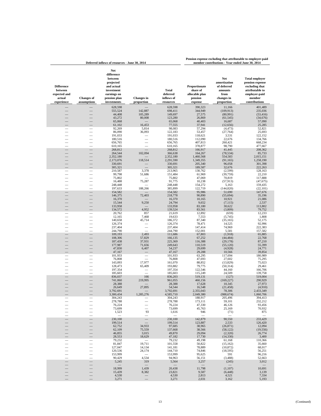| <b>Difference</b><br>between<br>expected and<br>actual<br>experience | <b>Changes of</b><br>assumptions | Net<br>difference<br>between<br>projected<br>and actual<br>investment<br>earnings on<br>pension plan<br>investments | <b>Changes</b> in<br>proportion | Total<br>deferred<br>inflows of<br>resources | Proportionate<br>share of<br>allocable plan<br>pension<br>expense | Net<br>amortization<br>of deferred<br>amounts<br>from<br>changes in<br>proportion | <b>Total employer</b><br>pension expense<br>excluding that<br>attributable to<br>employer-paid<br>member<br>contributions |
|----------------------------------------------------------------------|----------------------------------|---------------------------------------------------------------------------------------------------------------------|---------------------------------|----------------------------------------------|-------------------------------------------------------------------|-----------------------------------------------------------------------------------|---------------------------------------------------------------------------------------------------------------------------|
|                                                                      |                                  | 628,598                                                                                                             |                                 | 628,598                                      | 390,323                                                           | 11,166                                                                            | 401,489                                                                                                                   |
|                                                                      |                                  | 555,524                                                                                                             | 142,887                         | 698,411                                      | 344,949                                                           | (109, 913)                                                                        | 235,036                                                                                                                   |
|                                                                      |                                  | 44,408                                                                                                              | 105,289                         | 149,697                                      | 27,575                                                            | (80,991)                                                                          | (53, 416)                                                                                                                 |
|                                                                      |                                  | 43,272                                                                                                              | 80,008                          | 123,280                                      | 26,869                                                            | (61, 545)                                                                         | (34, 676)                                                                                                                 |
|                                                                      |                                  | 65,068                                                                                                              |                                 | 65,068                                       | 40,403                                                            | 16,687                                                                            | 57,090                                                                                                                    |
|                                                                      |                                  | 61,102                                                                                                              | 16,453                          | 77,555                                       | 37,941                                                            | (12, 656)                                                                         | 25,285                                                                                                                    |
|                                                                      |                                  | 92,269<br>86,090                                                                                                    | 5,814<br>36,093                 | 98,083<br>122,183                            | 57,294<br>53,457                                                  | (4, 473)<br>(27, 764)                                                             | 52,821<br>25,693                                                                                                          |
|                                                                      |                                  | 191,033                                                                                                             |                                 | 191,033                                      | 118,621                                                           | 3,531                                                                             | 122,152                                                                                                                   |
|                                                                      |                                  | 180,516                                                                                                             |                                 | 180,516                                      | 112,090                                                           | 22,676                                                                            | 134,766                                                                                                                   |
|                                                                      |                                  | 656,765                                                                                                             |                                 | 656,765                                      | 407,813                                                           | 260,421                                                                           | 668,234                                                                                                                   |
|                                                                      |                                  | 610,165                                                                                                             |                                 | 610,165                                      | 378,877                                                           | 98,790                                                                            | 477,667                                                                                                                   |
| $\equiv$                                                             | $\overline{\phantom{0}}$         | 268,812<br>264,544                                                                                                  | 102,094                         | 268,812<br>366,638                           | 166,917<br>164,267                                                | 41,445<br>(78, 534)                                                               | 208,362<br>85,733                                                                                                         |
| $\equiv$                                                             | $\equiv$                         | 2,352,180                                                                                                           |                                 | 2,352,180                                    | 1,460,568                                                         | 554,583                                                                           | 2,015,151                                                                                                                 |
|                                                                      |                                  | 2,173,076                                                                                                           | 118,514                         | 2,291,590                                    | 1,349,355                                                         | (91, 165)                                                                         | 1,258,190                                                                                                                 |
|                                                                      | $\overline{\phantom{0}}$         | 330,691                                                                                                             |                                 | 330,691                                      | 205,340                                                           | 96,058                                                                            | 301,398                                                                                                                   |
|                                                                      |                                  | 305,321                                                                                                             |                                 | 305,321                                      | 189,587                                                           | 32,676                                                                            | 222,263                                                                                                                   |
| $\equiv$                                                             | $\overline{\phantom{0}}$         | 210,587<br>99,798                                                                                                   | 3,378<br>51,686                 | 213,965<br>151,484                           | 130,762<br>61,969                                                 | (2, 599)<br>(39, 759)                                                             | 128,163<br>22,210                                                                                                         |
|                                                                      |                                  | 75,802                                                                                                              |                                 | 75,802                                       | 47,069                                                            | 70,819                                                                            | 117,888                                                                                                                   |
|                                                                      |                                  | 16,488                                                                                                              | 75,287                          | 91,775                                       | 10,238                                                            | (57, 913)                                                                         | (47, 675)                                                                                                                 |
| $\equiv$                                                             | $\equiv$                         | 248,448                                                                                                             |                                 | 248,448                                      | 154,272                                                           | 5,163                                                                             | 159,435                                                                                                                   |
|                                                                      | $\equiv$                         | 197,633                                                                                                             | 188,266                         | 385,899                                      | 122,719                                                           | (144, 820)                                                                        | (22, 101)                                                                                                                 |
| $\overline{\phantom{0}}$                                             | $\overline{\phantom{0}}$         | 154,582                                                                                                             |                                 | 154,582                                      | 95,986                                                            | 51,690                                                                            | 147,676                                                                                                                   |
| $\equiv$                                                             |                                  | 146,375<br>16,370                                                                                                   | 72,403                          | 218,778<br>16,370                            | 90,890<br>10,165                                                  | (55, 694)<br>10,921                                                               | 35,196<br>21,086                                                                                                          |
|                                                                      |                                  | 15,544                                                                                                              | 9,250                           | 24,794                                       | 9,652                                                             | (7, 115)                                                                          | 2,537                                                                                                                     |
|                                                                      |                                  | 133,958                                                                                                             |                                 | 133,958                                      | 83,180                                                            | 30,622                                                                            | 113,802                                                                                                                   |
|                                                                      |                                  | 134,572                                                                                                             | 4,952                           | 139,524                                      | 83,561                                                            | (3,809)                                                                           | 79,752                                                                                                                    |
|                                                                      |                                  | 20,762                                                                                                              | 857                             | 21,619                                       | 12,892                                                            | (659)                                                                             | 12,233                                                                                                                    |
|                                                                      |                                  | 12,165<br>140,658                                                                                                   | 7,468<br>45,714                 | 19,633<br>186,372                            | 7,553<br>87,340                                                   | (5,745)<br>(35, 165)                                                              | 1,808<br>52,175                                                                                                           |
|                                                                      |                                  | 126,374                                                                                                             |                                 | 126,374                                      | 78,471                                                            | 14,525                                                                            | 92,996                                                                                                                    |
|                                                                      |                                  | 237,404                                                                                                             |                                 | 237,404                                      | 147,414                                                           | 74,969                                                                            | 222,383                                                                                                                   |
|                                                                      |                                  | 244,790                                                                                                             |                                 | 244,790                                      | 152,001                                                           | 5,581                                                                             | 157,582                                                                                                                   |
|                                                                      |                                  | 109,193                                                                                                             | 2,493                           | 111,686                                      | 67,803                                                            | (1,918)                                                                           | 65,885                                                                                                                    |
|                                                                      |                                  | 108,306<br>187,438                                                                                                  | 57,829<br>37,931                | 166,135<br>225,369                           | 67,252<br>116,388                                                 | (44, 484)<br>(29, 178)                                                            | 22,768<br>87,210                                                                                                          |
|                                                                      |                                  | 177,987                                                                                                             | 71,656                          | 249,643                                      | 110,519                                                           | (55, 120)                                                                         | 55,399                                                                                                                    |
|                                                                      |                                  | 47,830                                                                                                              | 6,407                           | 54,237                                       | 29,699                                                            | (4,928)                                                                           | 24,771                                                                                                                    |
|                                                                      |                                  | 47,167                                                                                                              |                                 | 47,167                                       | 29,288                                                            | 10,566                                                                            | 39,854                                                                                                                    |
|                                                                      |                                  | 101,933                                                                                                             |                                 | 101,933                                      | 63,295                                                            | 117,694                                                                           | 180,989                                                                                                                   |
|                                                                      | $\overline{\phantom{0}}$         | 76,808<br>143,093                                                                                                   | 17,977                          | 76,808<br>161,070                            | 47,693<br>88,852                                                  | 27,602<br>(13, 829)                                                               | 75,295<br>75,023                                                                                                          |
|                                                                      |                                  | 128,473                                                                                                             | 65,409                          | 193,882                                      | 79,775                                                            | (50, 314)                                                                         | 29,461                                                                                                                    |
| $\overline{\phantom{0}}$                                             | $\equiv$                         | 197,354                                                                                                             |                                 | 197,354                                      | 122,546                                                           | 44,160                                                                            | 166,706                                                                                                                   |
|                                                                      |                                  | 185,603                                                                                                             |                                 | 185,603                                      | 115,249                                                           | 24,509                                                                            | 139,758                                                                                                                   |
|                                                                      |                                  | 836,037<br>741,060                                                                                                  | 166<br>219,995                  | 836,203<br>961,055                           | 519,131<br>460,156                                                | (127)<br>(169, 227)                                                               | 519,004<br>290,929                                                                                                        |
|                                                                      |                                  | 28,388                                                                                                              |                                 | 28,388                                       | 17,628                                                            | 10,345                                                                            | 27,973                                                                                                                    |
|                                                                      |                                  | 26,649                                                                                                              | 27,895                          | 54,544                                       | 16,548                                                            | (21, 458)                                                                         | (4,910)                                                                                                                   |
|                                                                      |                                  | 3,792,691                                                                                                           |                                 | 3,792,691                                    | 2,355,043                                                         | 78,306                                                                            | 2,433,349                                                                                                                 |
|                                                                      |                                  | 3,300,434                                                                                                           | 1,285,276                       | 4,585,710                                    | 2.049.380                                                         | (988, 674)                                                                        | 1,060,706                                                                                                                 |
|                                                                      |                                  | 304,243<br>278,788                                                                                                  |                                 | 304,243<br>278,788                           | 188,917<br>173,111                                                | 205,496<br>59,101                                                                 | 394,413<br>232,212                                                                                                        |
|                                                                      |                                  | 76,224                                                                                                              |                                 | 76,224                                       | 47,330                                                            | 46,126                                                                            | 93,456                                                                                                                    |
|                                                                      |                                  | 73,699                                                                                                              |                                 | 73,699                                       | 45,763                                                            | 25,169                                                                            | 70,932                                                                                                                    |
|                                                                      |                                  | 1,523                                                                                                               | 93                              | 1,616                                        | 946                                                               | (71)                                                                              | 875                                                                                                                       |
|                                                                      |                                  |                                                                                                                     |                                 |                                              |                                                                   |                                                                                   |                                                                                                                           |
|                                                                      |                                  | 230,100<br>199,514                                                                                                  | $\equiv$                        | 230,100<br>199,514                           | 142,879<br>123,887                                                | 90,550<br>2,533                                                                   | 233,429<br>126,420                                                                                                        |
|                                                                      |                                  | 62,752                                                                                                              | 34,933                          | 97,685                                       | 38,965                                                            | (26, 871)                                                                         | 12,094                                                                                                                    |
|                                                                      |                                  | 62,109                                                                                                              | 75,559                          | 137,668                                      | 38,566                                                            | (58, 122)                                                                         | (19, 556)                                                                                                                 |
|                                                                      |                                  | 46,855                                                                                                              | 3,015                           | 49,870                                       | 29,094                                                            | (2,320)                                                                           | 26,774                                                                                                                    |
|                                                                      |                                  | 28,553                                                                                                              | 18,629                          | 47,182                                       | 17,730                                                            | (14, 330)                                                                         | 3,400                                                                                                                     |
|                                                                      |                                  | 79,232<br>81,847                                                                                                    | 19,711                          | 79,232<br>101,558                            | 49,198<br>50,822                                                  | 61,168<br>(15, 162)                                                               | 110,366<br>35,660                                                                                                         |
|                                                                      |                                  | 127,047                                                                                                             | 14,134                          | 141,181                                      | 78,889                                                            | (10, 872)                                                                         | 68,017                                                                                                                    |
|                                                                      |                                  | 120,536                                                                                                             | 24,174                          | 144,710                                      | 74,846                                                            | (18, 595)                                                                         | 56,251                                                                                                                    |
|                                                                      |                                  | 153,999                                                                                                             | $\overline{\phantom{a}}$        | 153,999                                      | 95,625                                                            | 591                                                                               | 96,216                                                                                                                    |
|                                                                      |                                  | 90,429                                                                                                              | 4,534                           | 94,963                                       | 56,151                                                            | (3, 488)                                                                          | 52,663                                                                                                                    |
|                                                                      |                                  | 5,245                                                                                                               | 319<br>$\overline{\phantom{m}}$ | 5,564                                        | 3,257<br>$\qquad \qquad$                                          | (245)                                                                             | 3,012                                                                                                                     |
|                                                                      |                                  | 18,999                                                                                                              | 1,439                           | 20,438                                       | 11,798                                                            | (1, 107)                                                                          | 10,691                                                                                                                    |
|                                                                      |                                  | 15,439                                                                                                              | 8,382                           | 23,821                                       | 9,587                                                             | (6, 448)                                                                          | 3,139                                                                                                                     |
|                                                                      |                                  | 4,530                                                                                                               | $\equiv$                        | 4,530                                        | 2,813                                                             | 4,521                                                                             | 7,334                                                                                                                     |
|                                                                      |                                  | 3,271                                                                                                               |                                 | 3,271                                        | 2,031                                                             | 3,162                                                                             | 5,193                                                                                                                     |

**Deferred inflows of resources - June 30, 2014**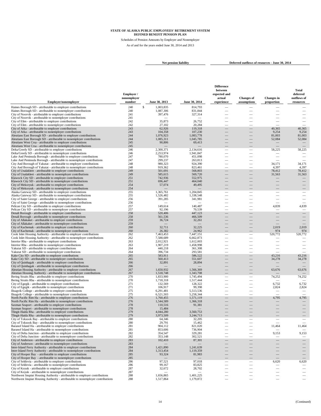Schedules of Pension Amounts by Employer and Nonemployer As of and for the years ended June 30, 2014 and 2013

**Net pension liability Deferred outflows of resources - June 30, 2014** 

|                                                                                                                                               | Employer/<br>nonemployer<br>number |                             |                        | <b>Difference</b><br>between<br>expected and<br>actual | <b>Changes</b> of<br>assumptions                     | <b>Changes</b> in                 | Total<br>deferred<br>outflows of<br>resources |
|-----------------------------------------------------------------------------------------------------------------------------------------------|------------------------------------|-----------------------------|------------------------|--------------------------------------------------------|------------------------------------------------------|-----------------------------------|-----------------------------------------------|
| Employer/nonemployer                                                                                                                          |                                    | June 30, 2013               | June 30, 2014          | experience                                             |                                                      | proportion                        |                                               |
| Haines Borough SD - attributable to employer contributions<br>Haines Borough SD - attributable to nonemployer contributions                   | 240<br>240                         | S<br>1,003,835<br>1,087,306 | 814,793<br>831,844     | $\overline{\phantom{a}}$                               |                                                      |                                   |                                               |
| City of Noorvik - attributable to employer contributions                                                                                      | 241                                | 397,476                     | 327,314                |                                                        |                                                      |                                   |                                               |
| City of Noorvik - attributable to nonemployer contributions                                                                                   | 241                                |                             |                        |                                                        |                                                      |                                   |                                               |
| City of Elim - attributable to employer contributions                                                                                         | 242                                | 35,873                      | 26,752                 |                                                        |                                                      |                                   | $\overline{\phantom{0}}$                      |
| City of Elim - attributable to nonemployer contributions                                                                                      | 242                                | 27,102                      | 20,284                 |                                                        |                                                      |                                   |                                               |
| City of Atka - attributable to employer contributions                                                                                         | 243                                | 62,926                      | 119,318                |                                                        |                                                      | 40,365                            | 40,365                                        |
| City of Atka - attributable to nonemployer contributions<br>Aleutians East Borough SD - attributable to employer contributions                | 243<br>244                         | 104,358                     | 107,230                |                                                        |                                                      | 9,254                             | 9,254<br>81,003                               |
| Aleutians East Borough SD - attributable to nonemployer contributions                                                                         | 244                                | 1,076,923<br>1,085,311      | 1,083,778<br>1,045,785 |                                                        |                                                      | 81,003<br>52,084                  | 52,084                                        |
| Aleutians West Crsa - attributable to employer contributions                                                                                  | 245                                | 90,806                      | 69,413                 |                                                        |                                                      |                                   |                                               |
| Aleutians West Crsa - attributable to nonemployer contributions                                                                               | 245                                |                             |                        |                                                        |                                                      |                                   |                                               |
| Delta/Greely SD - attributable to employer contributions                                                                                      | 246                                | 2,300,371                   | 2,134,616              | -                                                      |                                                      | 58,225                            | 58,225                                        |
| Delta/Greely SD - attributable to nonemployer contributions                                                                                   | 246                                | 2,253,974                   | 1,941,847              |                                                        | -                                                    |                                   |                                               |
| Lake And Peninsula Borough - attributable to employer contributions<br>Lake And Peninsula Borough - attributable to nonemployer contributions | 247<br>247                         | 780,070<br>299,237          | 451,098<br>263,813     |                                                        | $\overline{\phantom{0}}$                             | $\overline{\phantom{0}}$          |                                               |
| City And Borough of Yakutat - attributable to employer contributions                                                                          | 248                                | 980,323                     | 924,390                | $\overline{\phantom{a}}$                               | $\overline{\phantom{0}}$                             | 34,171                            | 34,171                                        |
| City And Borough of Yakutat - attributable to nonemployer contributions                                                                       | 248                                | 919,362                     | 823,461                |                                                        |                                                      | 4,397                             | 4,397                                         |
| City of Unalakleet - attributable to employer contributions                                                                                   | 249                                | 501,691                     | 568,803                | ÷.                                                     | $\overline{\phantom{0}}$                             | 78,412                            | 78,412                                        |
| City of Unalakleet - attributable to nonemployer contributions                                                                                | 249                                | 585,615                     | 569,720                |                                                        |                                                      | 31,563                            | 31,563                                        |
| Klawock City SD - attributable to employer contributions                                                                                      | 251                                | 742,936                     | 552,975                |                                                        |                                                      |                                   |                                               |
| Klawock City SD - attributable to nonemployer contributions                                                                                   | 251                                | 696,447                     | 464,040                |                                                        |                                                      |                                   |                                               |
| City of Mekoryuk - attributable to employer contributions<br>City of Mekoryuk - attributable to nonemployer contributions                     | 254<br>254                         | 57,074                      | 49,495                 |                                                        |                                                      |                                   |                                               |
| Alaska Gateway SD - attributable to employer contributions                                                                                    | 255                                | 1,365,761                   | 1,204,845              | $\overline{\phantom{a}}$                               | -                                                    |                                   | -                                             |
| Alaska Gateway SD - attributable to nonemployer contributions                                                                                 | 255                                | 1.526.482                   | 1,338,548              | $\overline{\phantom{0}}$                               |                                                      | $\overline{\phantom{0}}$          |                                               |
| City of Saint George - attributable to employer contributions                                                                                 | 256                                | 391,285                     | 341,981                |                                                        |                                                      | $\overline{\phantom{a}}$          | $\overline{\phantom{0}}$                      |
| City of Saint George - attributable to nonemployer contributions                                                                              | 256                                |                             |                        |                                                        |                                                      |                                   | $\overline{\phantom{a}}$                      |
| Pelican City SD - attributable to employer contributions                                                                                      | 257                                | 149,614                     | 140,487                | -                                                      | -                                                    | 4,839                             | 4,839                                         |
| Pelican City SD - attributable to nonemployer contributions<br>Denali Borough - attributable to employer contributions                        | 257<br>258                         | 92,196<br>520,406           | 70,539<br>447,123      |                                                        | $\overline{\phantom{0}}$                             |                                   | $\overline{\phantom{0}}$                      |
| Denali Borough - attributable to nonemployer contributions                                                                                    | 258                                | 561,536                     | 466,509                |                                                        |                                                      |                                   |                                               |
| City of Allakaket - attributable to employer contributions                                                                                    | 259                                | 36,724                      | 32,261                 |                                                        |                                                      |                                   |                                               |
| City of Allakaket - attributable to nonemployer contributions                                                                                 | 259                                |                             |                        |                                                        |                                                      |                                   |                                               |
| City of Kachemak - attributable to employer contributions                                                                                     | 260                                | 32,711                      | 32,225                 |                                                        |                                                      | 2,019                             | 2,019                                         |
| City of Kachemak - attributable to nonemployer contributions                                                                                  | 260                                | 26,382                      | 24,962                 |                                                        |                                                      | 974                               | 974                                           |
| Cook Inlet Housing Authority - attributable to employer contributions                                                                         | 262<br>262                         | 7.463.453<br>7,588,689      | 7.447.151              | -                                                      | -                                                    | 520,772                           | 520,772                                       |
| Cook Inlet Housing Authority - attributable to nonemployer contributions<br>Interior Rha - attributable to employer contributions             | 263                                | 2,012,921                   | 6,662,873<br>1,612,003 |                                                        |                                                      |                                   |                                               |
| Interior Rha - attributable to nonemployer contributions                                                                                      | 263                                | 1,907,219                   | 1,458,998              |                                                        |                                                      |                                   |                                               |
| Yakutat SD - attributable to employer contributions                                                                                           | 264                                | 440,218                     | 361,308                |                                                        |                                                      |                                   |                                               |
| Yakutat SD - attributable to nonemployer contributions                                                                                        | 264                                | 396,734                     | 293,581                | $\overline{\phantom{a}}$                               | $\overline{\phantom{0}}$                             |                                   | $\overline{\phantom{a}}$                      |
| Kake City SD - attributable to employer contributions                                                                                         | 265                                | 583,911                     | 586,522                |                                                        | $\overline{\phantom{0}}$                             | 43,216                            | 43,216                                        |
| Kake City SD - attributable to nonemployer contributions                                                                                      | 265                                | 560,413                     | 551,607                |                                                        | ÷.                                                   | 34,278                            | 34,278                                        |
| City of Quinhagak - attributable to employer contributions<br>City of Quinhagak - attributable to nonemployer contributions                   | 266<br>266                         | 32,891                      | 28,894                 |                                                        |                                                      |                                   |                                               |
| Aleutian Housing Authority - attributable to employer contributions                                                                           | 267                                | 1,650,932                   | 1,566,369              |                                                        |                                                      | 63,676                            | 63,676                                        |
| Aleutian Housing Authority - attributable to nonemployer contributions                                                                        | 267                                | 1,518,748                   | 1,343,708              |                                                        |                                                      |                                   |                                               |
| Bering Straits Rha - attributable to employer contributions                                                                                   | 270                                | 1,833,900                   | 1,745,494              |                                                        | $\overline{\phantom{0}}$                             | 74,252                            | 74,252                                        |
| Bering Straits Rha - attributable to nonemployer contributions                                                                                | 270                                | 1,718,318                   | 1,517,444              | ÷.                                                     | $\overline{\phantom{0}}$                             | $\overline{\phantom{m}}$          | $\overline{\phantom{0}}$                      |
| City of Egegik - attributable to employer contributions                                                                                       | 271                                | 132,569                     | 128,322                |                                                        | $\overline{\phantom{0}}$                             | 6,732                             | 6,732                                         |
| City of Egegik - attributable to nonemployer contributions<br>Ilisagvik College - attributable to employer contributions                      | 271<br>275                         | 106,917<br>6,291,481        | 99,398<br>5,513,536    | $\overline{\phantom{a}}$<br>$\overline{\phantom{0}}$   | $\overline{\phantom{0}}$<br>$\overline{\phantom{0}}$ | 2,824<br>$\overline{\phantom{m}}$ | 2,824<br>$\overline{\phantom{a}}$             |
| Ilisagvik College - attributable to nonemployer contributions                                                                                 | 275                                | 6,521,503                   | 5,258,344              | $\overline{\phantom{a}}$                               | $\overline{\phantom{0}}$                             |                                   |                                               |
| North Pacific Rim Ha - attributable to employer contributions                                                                                 | 276                                | 1,760,455                   | 1,571,119              |                                                        |                                                      | 4,795                             | 4,795                                         |
| North Pacific Rim Ha - attributable to nonemployer contributions                                                                              | 276                                | 1,544,589                   | 1,366,318              |                                                        |                                                      |                                   |                                               |
| Saxman Seaport - attributable to employer contributions                                                                                       | 278                                | 110,516                     | 91,381                 |                                                        |                                                      |                                   |                                               |
| Saxman Seaport - attributable to nonemployer contributions                                                                                    | 278                                | 15,484                      |                        |                                                        |                                                      |                                   |                                               |
| Tlingit-Haida Rha - attributable to employer contributions<br>Tlingit-Haida Rha - attributable to nonemployer contributions                   | 279<br>279                         | 4,044,280<br>3.973.509      | 3,560,753<br>3,244,713 |                                                        |                                                      |                                   |                                               |
| City of Toksook Bay - attributable to employer contributions                                                                                  | 280                                | 64,346                      | 32,205                 |                                                        |                                                      |                                   |                                               |
| City of Toksook Bay - attributable to nonemployer contributions                                                                               | 280                                | 29,791                      | 15,462                 | $\overline{\phantom{0}}$                               | $\overline{\phantom{0}}$                             |                                   |                                               |
| Baranof Island Ha - attributable to employer contributions                                                                                    | 281                                | 904,112                     | 821,020                |                                                        |                                                      | 11,464                            | 11,464                                        |
| Baranof Island Ha - attributable to nonemployer contributions                                                                                 | 281                                | 853,606                     | 736,904                |                                                        |                                                      |                                   |                                               |
| City of Delta Junction - attributable to employer contributions                                                                               | 282                                | 354,547                     | 329,281                |                                                        |                                                      | 9,153                             | 9,153                                         |
| City of Delta Junction - attributable to nonemployer contributions                                                                            | 282                                | 353,148                     | 302,521                | $\overline{\phantom{0}}$                               |                                                      |                                   |                                               |
| City of Anderson - attributable to employer contributions<br>City of Anderson - attributable to nonemployer contributions                     | 283<br>283                         | 102,410                     | 87,301                 |                                                        |                                                      |                                   |                                               |
| Inter-Island Ferry Authority - attributable to employer contributions                                                                         | 284                                | 1,421,890                   | 1,241,639              |                                                        |                                                      |                                   |                                               |
| Inter-Island Ferry Authority - attributable to nonemployer contributions                                                                      | 284                                | 1,313,454                   | 1,119,359              |                                                        |                                                      |                                   |                                               |
| City of Hooper Bay - attributable to employer contributions                                                                                   | 285                                | 93,324                      | 81,983                 | $\frac{1}{2}$                                          | $\overline{\phantom{0}}$                             |                                   | $\qquad \qquad -$                             |
| City of Hooper Bay - attributable to nonemployer contributions                                                                                | 285                                |                             |                        |                                                        |                                                      |                                   |                                               |
| City of Seldovia - attributable to employer contributions                                                                                     | 286                                | 97,521                      | 97,018                 |                                                        | $\overline{\phantom{0}}$                             | 6,620                             | 6,620                                         |
| City of Seldovia - attributable to nonemployer contributions<br>City of Koyuk - attributable to employer contributions                        | 286                                | 99,167                      | 83,825                 |                                                        |                                                      |                                   |                                               |
| City of Koyuk - attributable to nonemployer contributions                                                                                     | 287<br>287                         | 32,672                      | 28,702                 | $\overline{\phantom{0}}$                               | $\overline{\phantom{0}}$                             |                                   |                                               |
| Northwest Inupiat Housing Authority - attributable to employer contributions                                                                  | 288                                | 1,656,865                   | 1,401,225              |                                                        | —                                                    | $\qquad \qquad -$                 |                                               |
| Northwest Inupiat Housing Authority - attributable to nonemployer contributions                                                               | 288                                | 1,517,864                   | 1,179,872              | $\hspace{0.1mm}-\hspace{0.1mm}$                        | $\qquad \qquad \longleftarrow$                       | $\qquad \qquad -$                 | $\qquad \qquad -$                             |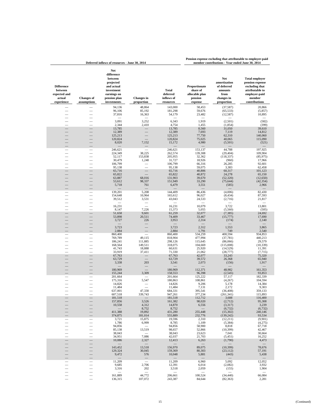|                                                                             | Deferred inflows of resources - June 30, 2014 |                                                                                                                     |                                 |                                                     |                                                                   | member contributions - Year ended June 30, 2014                                   |                                                                                                                           |
|-----------------------------------------------------------------------------|-----------------------------------------------|---------------------------------------------------------------------------------------------------------------------|---------------------------------|-----------------------------------------------------|-------------------------------------------------------------------|-----------------------------------------------------------------------------------|---------------------------------------------------------------------------------------------------------------------------|
| <b>Difference</b><br>between<br>expected and<br>actual<br>experience        | <b>Changes of</b><br>assumptions              | Net<br>difference<br>between<br>projected<br>and actual<br>investment<br>earnings on<br>pension plan<br>investments | <b>Changes</b> in<br>proportion | <b>Total</b><br>deferred<br>inflows of<br>resources | Proportionate<br>share of<br>allocable plan<br>pension<br>expense | Net<br>amortization<br>of deferred<br>amounts<br>from<br>changes in<br>proportion | <b>Total employer</b><br>pension expense<br>excluding that<br>attributable to<br>employer-paid<br>member<br>contributions |
|                                                                             |                                               | 94,136<br>96,106                                                                                                    | 48,864<br>85,192                | 143,000<br>181,298                                  | 58,453<br>59,676                                                  | (37, 587)<br>(65, 533)                                                            | 20,866<br>(5,857)                                                                                                         |
|                                                                             |                                               | 37,816                                                                                                              | 16,363                          | 54,179                                              | 23,482                                                            | (12, 587)                                                                         | 10,895                                                                                                                    |
|                                                                             |                                               | 3,091                                                                                                               | 3,252                           | 6,343                                               | 1,919                                                             | (2,501)                                                                           | (582)                                                                                                                     |
|                                                                             |                                               | 2,344                                                                                                               | 2,410                           | 4,754                                               | 1,455                                                             | (1, 854)                                                                          | (399)                                                                                                                     |
|                                                                             |                                               | 13,785<br>12,389                                                                                                    |                                 | 13,785<br>12,389                                    | 8,560<br>7,693                                                    | 31,050<br>7,119                                                                   | 39,610<br>14,812                                                                                                          |
|                                                                             |                                               | 125,213                                                                                                             |                                 | 125,213                                             | 77,750                                                            | 62,310                                                                            | 140,060                                                                                                                   |
|                                                                             |                                               | 120,824<br>8,020                                                                                                    | 7,152                           | 120,824<br>15,172                                   | 75,025<br>4,980                                                   | 40,065<br>(5,501)                                                                 | 115,090<br>(521)                                                                                                          |
|                                                                             |                                               |                                                                                                                     |                                 |                                                     |                                                                   |                                                                                   |                                                                                                                           |
| $\equiv$                                                                    | $\equiv$                                      | 246,621<br>224,349                                                                                                  | 38,225                          | 246,621<br>262,574                                  | 153,137<br>139,308                                                | 44,788<br>(29, 404)                                                               | 197,925<br>109,904                                                                                                        |
|                                                                             |                                               | 52,117                                                                                                              | 153,838                         | 205,955                                             | 32,362                                                            | (118, 337)                                                                        | (85, 975)                                                                                                                 |
|                                                                             |                                               | 30,479<br>106,799                                                                                                   | 1,248                           | 31,727<br>106,799                                   | 18,926<br>66,316                                                  | (960)<br>26,285                                                                   | 17,966<br>92,601                                                                                                          |
|                                                                             |                                               | 95,138                                                                                                              | $\equiv$                        | 95,138                                              | 59,075                                                            | 3,383                                                                             | 62,458                                                                                                                    |
| $\frac{1}{1}$                                                               | —                                             | 65,716<br>65,822                                                                                                    | $\overline{\phantom{0}}$        | 65,716<br>65,822                                    | 40,806<br>40,872                                                  | 60,317<br>24,278                                                                  | 101,123<br>65,150                                                                                                         |
|                                                                             |                                               | 63,887                                                                                                              | 68,016                          | 131,903                                             | 39,670                                                            | (52, 320)                                                                         | (12,650)                                                                                                                  |
|                                                                             |                                               | 53,612<br>5,718                                                                                                     | 98,337<br>761                   | 151,949<br>6,479                                    | 33,290<br>3,551                                                   | (75, 644)<br>(585)                                                                | (42, 354)<br>2,966                                                                                                        |
|                                                                             |                                               |                                                                                                                     |                                 |                                                     |                                                                   |                                                                                   |                                                                                                                           |
|                                                                             | $\equiv$<br>$\equiv$                          | 139,201<br>154,648                                                                                                  | 5,208<br>10,964                 | 144,409<br>165,612                                  | 86,436<br>96,027                                                  | (4,006)<br>(8, 434)                                                               | 82,430<br>87,593                                                                                                          |
| $\equiv$                                                                    |                                               | 39,512                                                                                                              | 3,531                           | 43,043                                              | 24,533                                                            | (2,716)                                                                           | 21,817                                                                                                                    |
|                                                                             |                                               | 16,231                                                                                                              | $\overline{\phantom{a}}$        | 16,231                                              | 10,079                                                            | 3,722                                                                             | 13,801                                                                                                                    |
|                                                                             |                                               | 8,147                                                                                                               | 7,226<br>9,601                  | 15,373                                              | 5,055<br>32,077                                                   | (5,560)                                                                           | (505)                                                                                                                     |
|                                                                             |                                               | 51,658<br>53,898                                                                                                    | 20,511                          | 61,259<br>74,409                                    | 33,467                                                            | (7, 385)<br>(15, 777)                                                             | 24,692<br>17,690                                                                                                          |
|                                                                             |                                               | 3,727                                                                                                               | 226                             | 3,953                                               | 2,314                                                             | (174)                                                                             | 2,140                                                                                                                     |
|                                                                             |                                               | 3,723                                                                                                               |                                 | 3,723                                               | 2,312                                                             | 1,553                                                                             | 3,865                                                                                                                     |
|                                                                             |                                               | 2,884<br>860,400                                                                                                    |                                 | 2,884<br>860,400                                    | 1,791<br>534,259                                                  | 749<br>400,594                                                                    | 2,540<br>934,853                                                                                                          |
|                                                                             |                                               | 769,789                                                                                                             | 49,115                          | 818,904                                             | 477,994                                                           | (37, 781)                                                                         | 440,213                                                                                                                   |
|                                                                             |                                               | 186,241<br>168,564                                                                                                  | 111,885<br>149,511              | 298,126<br>318,075                                  | 115,645<br>104,669                                                | (86,066)<br>(115,008)                                                             | 29,579<br>(10, 339)                                                                                                       |
|                                                                             |                                               | 41,743                                                                                                              | 18,888                          | 60,631                                              | 25,920                                                            | (14, 529)                                                                         | 11,391                                                                                                                    |
|                                                                             |                                               | 33,919<br>67,763                                                                                                    | 37,411                          | 71,330<br>67,763                                    | 21,062<br>42,077                                                  | (28, 777)<br>33,243                                                               | (7, 715)<br>75,320                                                                                                        |
|                                                                             |                                               | 63,729                                                                                                              |                                 | 63,729                                              | 39,572                                                            | 26,368                                                                            | 65,940                                                                                                                    |
|                                                                             |                                               | 3,338                                                                                                               | 203                             | 3,541                                               | 2,073                                                             | (156)                                                                             | 1,917                                                                                                                     |
|                                                                             |                                               | 180,969                                                                                                             |                                 | 180,969                                             | 112,371                                                           | 48,982                                                                            | 161,353                                                                                                                   |
|                                                                             |                                               | 155,244<br>201,664                                                                                                  | 3,309                           | 158,553<br>201,664                                  | 96,398<br>125,222                                                 | (2, 545)<br>57,117                                                                | 93,853<br>182,339                                                                                                         |
|                                                                             |                                               | 175,316                                                                                                             | 5,547                           | 180,863                                             | 108,861                                                           | (4,267)                                                                           | 104,594                                                                                                                   |
| $\begin{array}{c} \blacksquare \\ \blacksquare \\ \blacksquare \end{array}$ | $\frac{1}{2}$                                 | 14,826<br>11,484                                                                                                    |                                 | 14,826<br>11,484                                    | 9,206<br>7,131                                                    | 5,178<br>2,172                                                                    | 14,384<br>9,303                                                                                                           |
|                                                                             |                                               | 637,001                                                                                                             | 47,330                          | 684,331                                             | 395,541                                                           | (36, 408)                                                                         | 359,133                                                                                                                   |
|                                                                             |                                               | 607,518<br>181,518                                                                                                  | 339,743                         | 947,261<br>181,518                                  | 377,234<br>112,712                                                | (261, 341)<br>3,688                                                               | 115,893<br>116,400                                                                                                        |
|                                                                             |                                               | 157,856<br>10,558                                                                                                   | 3,526<br>4,312                  | 161,382<br>14,870                                   | 98,020<br>6,556                                                   | (2,712)<br>(3,317)                                                                | 95,308<br>3,239                                                                                                           |
|                                                                             |                                               |                                                                                                                     | 8,752                           | 8,752                                               |                                                                   | (6, 732)                                                                          | (6, 732)                                                                                                                  |
|                                                                             |                                               | 411,388<br>374,875                                                                                                  | 19,892<br>181,014               | 431,280<br>555,889                                  | 255,448<br>232,776                                                | (15, 302)                                                                         | 240,146<br>93,534                                                                                                         |
|                                                                             |                                               | 3,721                                                                                                               | 15,875                          | 19,596                                              | 2,310                                                             | (139, 242)<br>(12, 211)                                                           | (9,901)                                                                                                                   |
|                                                                             |                                               | 1,786<br>94,856                                                                                                     | 6,999                           | 8,785<br>94,856                                     | 1,109<br>58,900                                                   | (5, 384)<br>8,818                                                                 | (4,275)<br>67,718                                                                                                         |
|                                                                             |                                               | 85,138                                                                                                              | 13,519                          | 98,657                                              | 52,866                                                            | (10, 399)                                                                         | 42,467                                                                                                                    |
|                                                                             |                                               | 38,043<br>34,951                                                                                                    | 7,086                           | 38,043<br>42,037                                    | 23,623<br>21,703                                                  | 7,041<br>(5, 451)                                                                 | 30,664<br>16,252                                                                                                          |
|                                                                             |                                               | 10,086                                                                                                              | 2,327                           | 12,413                                              | 6,263                                                             | (1,790)                                                                           | 4,473                                                                                                                     |
|                                                                             |                                               | 143,452                                                                                                             | 13,518                          | 156,970                                             | 89,075                                                            | (10, 399)                                                                         | 78,676                                                                                                                    |
|                                                                             |                                               | 129,324<br>9,472                                                                                                    | 30,045<br>576                   | 159,369<br>10,048                                   | 80,303<br>5,881                                                   | (23, 112)<br>(443)                                                                | 57,191<br>5,438                                                                                                           |
|                                                                             |                                               | $\overline{\phantom{0}}$<br>11,209                                                                                  | $\overline{\phantom{0}}$        | 11,209                                              | $\overline{\phantom{0}}$<br>6,960                                 | 5,092                                                                             | $\overline{\phantom{a}}$<br>12,052                                                                                        |
|                                                                             |                                               | 9,685<br>3,316                                                                                                      | 2,706<br>202                    | 12,391<br>3,518                                     | 6,014<br>2,059                                                    | (2,082)                                                                           | 3,932<br>1,904                                                                                                            |
| $\frac{1}{1}$                                                               | $\frac{1}{1}$                                 |                                                                                                                     | $\overline{\phantom{a}}$        |                                                     | $\overline{\phantom{m}}$                                          | (155)                                                                             | $\overline{\phantom{a}}$                                                                                                  |
|                                                                             |                                               | 161,889<br>136,315                                                                                                  | 44,772<br>107,072               | 206,661<br>243,387                                  | 100,524<br>84,644                                                 | (34, 440)<br>(82, 363)                                                            | 66,084<br>2,281                                                                                                           |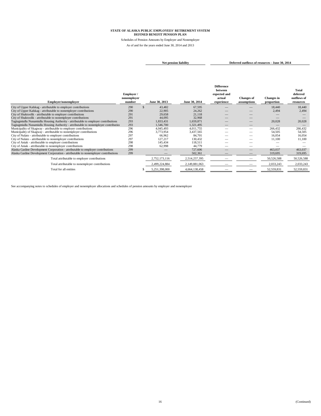Schedules of Pension Amounts by Employer and Nonemployer As of and for the years ended June 30, 2014 and 2013

```
Net pension liability Deferred outflows of resources - June 30, 2014
```

| Employer/nonemployer                                                                 | Employer /<br>nonemployer<br>number | June 30, 2013 | June 30, 2014 | <b>Difference</b><br>between<br>expected and<br>actual<br>experience | <b>Changes of</b><br>assumptions | <b>Changes</b> in<br>proportion | <b>Total</b><br>deferred<br>outflows of<br>resources |
|--------------------------------------------------------------------------------------|-------------------------------------|---------------|---------------|----------------------------------------------------------------------|----------------------------------|---------------------------------|------------------------------------------------------|
| City of Upper Kalskag - attributable to employer contributions                       | 290                                 | 43,482        | 67,595        |                                                                      |                                  | 18,440                          | 18,440                                               |
| City of Upper Kalskag - attributable to nonemployer contributions                    | 290                                 | 22,905        | 24,262        |                                                                      | __                               | 2,494                           | 2,494                                                |
| City of Shaktoolik - attributable to employer contributions                          | 291                                 | 29,658        | 21,118        |                                                                      | __                               |                                 | $\overline{\phantom{a}}$                             |
| City of Shaktoolik - attributable to nonemployer contributions                       | 291                                 | 44,095        | 32,968        |                                                                      | __                               |                                 |                                                      |
| Tagiugmiullu Nunamiullu Housing Authority - attributable to employer contributions   | 293                                 | 1,833,431     | 1,659,871     |                                                                      |                                  | 20,028                          | 20,028                                               |
| Tagiugmiullu Nunamiullu Housing Authority - attributable to nonemployer contribution | 293                                 | 1,546,700     | 1,321,495     |                                                                      | __                               |                                 |                                                      |
| Municipality of Skagway - attributable to employer contributions                     | 296                                 | 4,045,493     | 4,011,755     |                                                                      | –                                | 266,432                         | 266,432                                              |
| Municipality of Skagway - attributable to nonemployer contributions                  | 296                                 | 3,773,954     | 3,437,565     |                                                                      |                                  | 54,505                          | 54,505                                               |
| City of Nulato - attributable to employer contributions                              | 297                                 | 66,962        | 84,701        |                                                                      |                                  | 16,054                          | 16,054                                               |
| City of Nulato - attributable to nonemployer contributions                           | 297                                 | 127,217       | 130,432       |                                                                      | _                                | 11,100                          | 11,100                                               |
| City of Aniak - attributable to employer contributions                               | 298                                 | 145.434       | 118,511       |                                                                      |                                  |                                 |                                                      |
| City of Aniak - attributable to nonemployer contributions                            | 298                                 | 62,998        | 44,779        |                                                                      |                                  |                                 |                                                      |
| Alaska Gasline Development Corporation - attributable to employer contributions      | 299                                 |               | 727,606       |                                                                      |                                  | 463,037                         | 463,037                                              |
| Alaska Gasline Development Corporation - attributable to nonemployer contributions   | 299                                 |               | 502,361       |                                                                      |                                  | 319,695                         | 319,695                                              |
| Total attributable to employer contributions                                         |                                     | 2,752,173,116 | 2,514,257,395 |                                                                      |                                  | 50,526,588                      | 50,526,588                                           |
| Total attributable to nonemployer contributions                                      |                                     | 2,499,224,884 | 2,149,881,063 |                                                                      |                                  | 2,033,243                       | 2,033,243                                            |
| Total for all entities                                                               |                                     | 5,251,398,000 | 4,664,138,458 |                                                                      |                                  | 52,559,831                      | 52,559,831                                           |

See accompanying notes to schedules of employer and nonemployer allocations and schedules of pension amounts by employer and nonemployer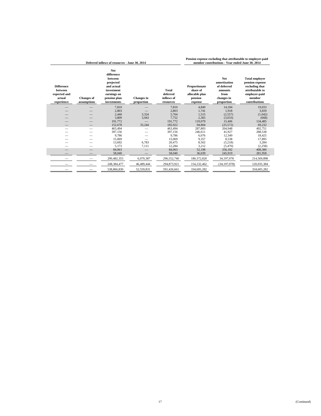| Deferred inflows of resources - June 30, 2014                               |                                  |                                                                                                                            |                                 |                                                     |                                                                   | member contributions - Year ended June 30, 2014                                          |                                                                                                                           |
|-----------------------------------------------------------------------------|----------------------------------|----------------------------------------------------------------------------------------------------------------------------|---------------------------------|-----------------------------------------------------|-------------------------------------------------------------------|------------------------------------------------------------------------------------------|---------------------------------------------------------------------------------------------------------------------------|
| <b>Difference</b><br><b>between</b><br>expected and<br>actual<br>experience | <b>Changes</b> of<br>assumptions | <b>Net</b><br>difference<br>between<br>projected<br>and actual<br>investment<br>earnings on<br>pension plan<br>investments | <b>Changes</b> in<br>proportion | <b>Total</b><br>deferred<br>inflows of<br>resources | Proportionate<br>share of<br>allocable plan<br>pension<br>expense | <b>Net</b><br>amortization<br>of deferred<br>amounts<br>from<br>changes in<br>proportion | <b>Total employer</b><br>pension expense<br>excluding that<br>attributable to<br>employer-paid<br>member<br>contributions |
|                                                                             |                                  | 7,810                                                                                                                      |                                 | 7.810                                               | 4,849                                                             | 14,184                                                                                   | 19,033                                                                                                                    |
|                                                                             |                                  | 2,803                                                                                                                      |                                 | 2,803                                               | 1,741                                                             | 1,918                                                                                    | 3,659                                                                                                                     |
|                                                                             |                                  | 2,440                                                                                                                      | 3,324                           | 5,764                                               | 1,515                                                             | (2,557)                                                                                  | (1,042)                                                                                                                   |
|                                                                             |                                  | 3,809                                                                                                                      | 3,943                           | 7,752                                               | 2,365                                                             | (3,033)                                                                                  | (668)                                                                                                                     |
|                                                                             |                                  | 191,772                                                                                                                    |                                 | 191,772                                             | 119,079                                                           | 15,406                                                                                   | 134,485                                                                                                                   |
|                                                                             |                                  | 152,678                                                                                                                    | 33,244                          | 185,922                                             | 94,804                                                            | (25,572)                                                                                 | 69,232                                                                                                                    |
|                                                                             |                                  | 463,494                                                                                                                    |                                 | 463,494                                             | 287,803                                                           | 204,948                                                                                  | 492,751                                                                                                                   |
|                                                                             |                                  | 397,156                                                                                                                    |                                 | 397,156                                             | 246,611                                                           | 41,927                                                                                   | 288,538                                                                                                                   |
|                                                                             |                                  | 9,786                                                                                                                      |                                 | 9.786                                               | 6.076                                                             | 12,349                                                                                   | 18,425                                                                                                                    |
|                                                                             |                                  | 15.069                                                                                                                     |                                 | 15,069                                              | 9.357                                                             | 8,538                                                                                    | 17,895                                                                                                                    |
|                                                                             |                                  | 13,692                                                                                                                     | 6,783                           | 20,475                                              | 8,502                                                             | (5,218)                                                                                  | 3,284                                                                                                                     |
|                                                                             |                                  | 5,173                                                                                                                      | 7,111                           | 12,284                                              | 3,212                                                             | (5,470)                                                                                  | (2,258)                                                                                                                   |
|                                                                             |                                  | 84,063                                                                                                                     |                                 | 84,063                                              | 52,198                                                            | 356,182                                                                                  | 408,380                                                                                                                   |
|                                                                             |                                  | 58,040                                                                                                                     |                                 | 58,040                                              | 36,039                                                            | 245,919                                                                                  | 281,958                                                                                                                   |
|                                                                             |                                  | 290,482,353                                                                                                                | 6,070,387                       | 296,552,740                                         | 180,372,820                                                       | 34,197,078                                                                               | 214,569,898                                                                                                               |
|                                                                             |                                  | 248,384,477                                                                                                                | 46,489,444                      | 294,873,921                                         | 154,232,462                                                       | (34, 197, 078)                                                                           | 120,035,384                                                                                                               |
|                                                                             |                                  | 538,866,830                                                                                                                | 52,559,831                      | 591,426,661                                         | 334,605,282                                                       |                                                                                          | 334,605,282                                                                                                               |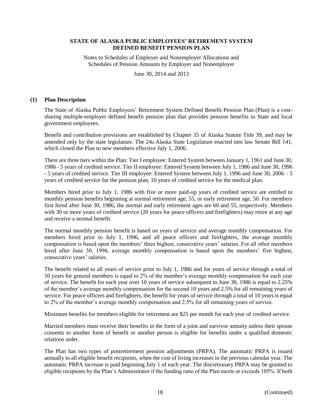Notes to Schedules of Employer and Nonemployer Allocations and Schedules of Pension Amounts by Employer and Nonemployer

June 30, 2014 and 2013

#### **(1) Plan Description**

The State of Alaska Public Employees' Retirement System Defined Benefit Pension Plan (Plan) is a costsharing multiple-employer defined benefit pension plan that provides pension benefits to State and local government employees.

Benefit and contribution provisions are established by Chapter 35 of Alaska Statute Title 39, and may be amended only by the state legislature. The 24th Alaska State Legislature enacted into law Senate Bill 141, which closed the Plan to new members effective July 1, 2006.

There are three tiers within the Plan: Tier I employee: Entered System between January 1, 1961 and June 30, 1986 - 5 years of credited service. Tier II employee: Entered System between July 1, 1986 and June 30, 1996 - 5 years of credited service. Tier III employee: Entered System between July 1, 1996 and June 30, 2006 – 5 years of credited service for the pension plan, 10 years of credited service for the medical plan.

Members hired prior to July 1, 1986 with five or more paid-up years of credited service are entitled to monthly pension benefits beginning at normal retirement age, 55, or early retirement age, 50. For members first hired after June 30, 1986, the normal and early retirement ages are 60 and 55, respectively. Members with 30 or more years of credited service (20 years for peace officers and firefighters) may retire at any age and receive a normal benefit.

The normal monthly pension benefit is based on years of service and average monthly compensation. For members hired prior to July 1, 1996, and all peace officers and firefighters, the average monthly compensation is based upon the members' three highest, consecutive years' salaries. For all other members hired after June 30, 1996, average monthly compensation is based upon the members' five highest, consecutive years' salaries.

The benefit related to all years of service prior to July 1, 1986 and for years of service through a total of 10 years for general members is equal to 2% of the member's average monthly compensation for each year of service. The benefit for each year over 10 years of service subsequent to June 30, 1986 is equal to 2.25% of the member's average monthly compensation for the second 10 years and 2.5% for all remaining years of service. For peace officers and firefighters, the benefit for years of service through a total of 10 years is equal to 2% of the member's average monthly compensation and 2.5% for all remaining years of service.

Minimum benefits for members eligible for retirement are \$25 per month for each year of credited service.

Married members must receive their benefits in the form of a joint and survivor annuity unless their spouse consents to another form of benefit or another person is eligible for benefits under a qualified domestic relations order.

The Plan has two types of postretirement pension adjustments (PRPA). The automatic PRPA is issued annually to all eligible benefit recipients, when the cost of living increases in the previous calendar year. The automatic PRPA increase is paid beginning July 1 of each year. The discretionary PRPA may be granted to eligible recipients by the Plan's Administrator if the funding ratio of the Plan meets or exceeds 105%. If both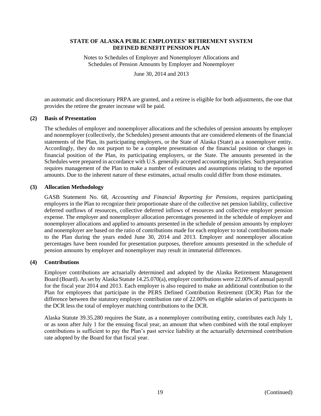Notes to Schedules of Employer and Nonemployer Allocations and Schedules of Pension Amounts by Employer and Nonemployer

June 30, 2014 and 2013

an automatic and discretionary PRPA are granted, and a retiree is eligible for both adjustments, the one that provides the retiree the greater increase will be paid.

#### **(2) Basis of Presentation**

The schedules of employer and nonemployer allocations and the schedules of pension amounts by employer and nonemployer (collectively, the Schedules) present amounts that are considered elements of the financial statements of the Plan, its participating employers, or the State of Alaska (State) as a nonemployer entity. Accordingly, they do not purport to be a complete presentation of the financial position or changes in financial position of the Plan, its participating employers, or the State. The amounts presented in the Schedules were prepared in accordance with U.S. generally accepted accounting principles. Such preparation requires management of the Plan to make a number of estimates and assumptions relating to the reported amounts. Due to the inherent nature of these estimates, actual results could differ from those estimates.

#### **(3) Allocation Methodology**

GASB Statement No. 68, *Accounting and Financial Reporting for Pensions*, requires participating employers in the Plan to recognize their proportionate share of the collective net pension liability, collective deferred outflows of resources, collective deferred inflows of resources and collective employer pension expense. The employer and nonemployer allocation percentages presented in the schedule of employer and nonemployer allocations and applied to amounts presented in the schedule of pension amounts by employer and nonemployer are based on the ratio of contributions made for each employer to total contributions made to the Plan during the years ended June 30, 2014 and 2013. Employer and nonemployer allocation percentages have been rounded for presentation purposes, therefore amounts presented in the schedule of pension amounts by employer and nonemployer may result in immaterial differences.

### **(4) Contributions**

Employer contributions are actuarially determined and adopted by the Alaska Retirement Management Board (Board). As set by Alaska Statute 14.25.070(a), employer contributions were 22.00% of annual payroll for the fiscal year 2014 and 2013. Each employer is also required to make an additional contribution to the Plan for employees that participate in the PERS Defined Contribution Retirement (DCR) Plan for the difference between the statutory employer contribution rate of 22.00% on eligible salaries of participants in the DCR less the total of employer matching contributions to the DCR.

Alaska Statute 39.35.280 requires the State, as a nonemployer contributing entity, contributes each July 1, or as soon after July 1 for the ensuing fiscal year, an amount that when combined with the total employer contributions is sufficient to pay the Plan's past service liability at the actuarially determined contribution rate adopted by the Board for that fiscal year.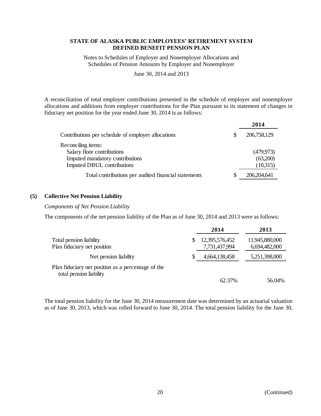Notes to Schedules of Employer and Nonemployer Allocations and Schedules of Pension Amounts by Employer and Nonemployer

June 30, 2014 and 2013

A reconciliation of total employer contributions presented in the schedule of employer and nonemployer allocations and additions from employer contributions for the Plan pursuant to its statement of changes in fiduciary net position for the year ended June 30, 2014 is as follows:

|                                                      |   | 2014        |
|------------------------------------------------------|---|-------------|
| Contributions per schedule of employer allocations   | S | 206,758,129 |
| Reconciling items:                                   |   |             |
| Salary floor contributions                           |   | (479, 973)  |
| Imputed mandatory contributions                      |   | (63,200)    |
| Imputed DBUL contributions                           |   | (10,315)    |
| Total contributions per audited financial statements | S | 206,204,641 |

### **(5) Collective Net Pension Liability**

#### *Components of Net Pension Liability*

The components of the net pension liability of the Plan as of June 30, 2014 and 2013 were as follows:

|                                                                               | 2014           | 2013           |
|-------------------------------------------------------------------------------|----------------|----------------|
| Total pension liability                                                       | 12,395,576,452 | 11,945,880,000 |
| Plan fiduciary net position                                                   | 7,731,437,994  | 6,694,482,000  |
| Net pension liability                                                         | 4,664,138,458  | 5,251,398,000  |
| Plan fiduciary net position as a percentage of the<br>total pension liability |                |                |
|                                                                               | 62.37%         | 56.04%         |

The total pension liability for the June 30, 2014 measurement date was determined by an actuarial valuation as of June 30, 2013, which was rolled forward to June 30, 2014. The total pension liability for the June 30,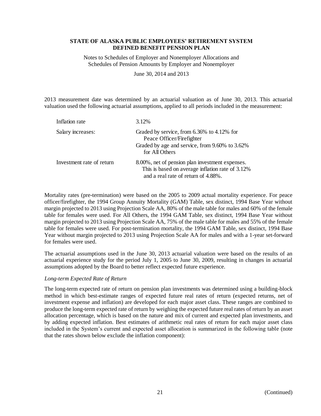Notes to Schedules of Employer and Nonemployer Allocations and Schedules of Pension Amounts by Employer and Nonemployer

June 30, 2014 and 2013

2013 measurement date was determined by an actuarial valuation as of June 30, 2013. This actuarial valuation used the following actuarial assumptions, applied to all periods included in the measurement:

| Inflation rate            | 3.12%                                                                                                                                       |
|---------------------------|---------------------------------------------------------------------------------------------------------------------------------------------|
| Salary increases:         | Graded by service, from 6.36% to 4.12% for<br>Peace Officer/Firefighter<br>Graded by age and service, from 9.60% to 3.62%<br>for All Others |
| Investment rate of return | 8.00%, net of pension plan investment expenses.<br>This is based on average inflation rate of 3.12%<br>and a real rate of return of 4.88%.  |

Mortality rates (pre-termination) were based on the 2005 to 2009 actual mortality experience. For peace officer/firefighter, the 1994 Group Annuity Mortality (GAM) Table, sex distinct, 1994 Base Year without margin projected to 2013 using Projection Scale AA, 80% of the male table for males and 60% of the female table for females were used. For All Others, the 1994 GAM Table, sex distinct, 1994 Base Year without margin projected to 2013 using Projection Scale AA, 75% of the male table for males and 55% of the female table for females were used. For post-termination mortality, the 1994 GAM Table, sex distinct, 1994 Base Year without margin projected to 2013 using Projection Scale AA for males and with a 1-year set-forward for females were used.

The actuarial assumptions used in the June 30, 2013 actuarial valuation were based on the results of an actuarial experience study for the period July 1, 2005 to June 30, 2009, resulting in changes in actuarial assumptions adopted by the Board to better reflect expected future experience.

### *Long-term Expected Rate of Return*

The long-term expected rate of return on pension plan investments was determined using a building-block method in which best-estimate ranges of expected future real rates of return (expected returns, net of investment expense and inflation) are developed for each major asset class. These ranges are combined to produce the long-term expected rate of return by weighing the expected future real rates of return by an asset allocation percentage, which is based on the nature and mix of current and expected plan investments, and by adding expected inflation. Best estimates of arithmetic real rates of return for each major asset class included in the System's current and expected asset allocation is summarized in the following table (note that the rates shown below exclude the inflation component):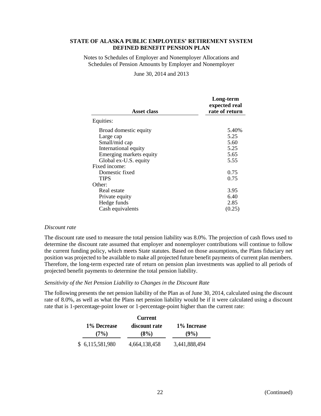Notes to Schedules of Employer and Nonemployer Allocations and Schedules of Pension Amounts by Employer and Nonemployer

#### June 30, 2014 and 2013

| <b>Asset class</b>      | Long-term<br>expected real<br>rate of return |
|-------------------------|----------------------------------------------|
| Equities:               |                                              |
| Broad domestic equity   | 5.40%                                        |
| Large cap               | 5.25                                         |
| Small/mid cap           | 5.60                                         |
| International equity    | 5.25                                         |
| Emerging markets equity | 5.65                                         |
| Global ex-U.S. equity   | 5.55                                         |
| Fixed income:           |                                              |
| Domestic fixed          | 0.75                                         |
| <b>TIPS</b>             | 0.75                                         |
| Other:                  |                                              |
| Real estate             | 3.95                                         |
| Private equity          | 6.40                                         |
| Hedge funds             | 2.85                                         |
| Cash equivalents        | (0.25)                                       |

#### *Discount rate*

The discount rate used to measure the total pension liability was 8.0%. The projection of cash flows used to determine the discount rate assumed that employer and nonemployer contributions will continue to follow the current funding policy, which meets State statutes. Based on those assumptions, the Plans fiduciary net position was projected to be available to make all projected future benefit payments of current plan members. Therefore, the long-term expected rate of return on pension plan investments was applied to all periods of projected benefit payments to determine the total pension liability.

#### *Sensitivity of the Net Pension Liability to Changes in the Discount Rate*

The following presents the net pension liability of the Plan as of June 30, 2014, calculated using the discount rate of 8.0%, as well as what the Plans net pension liability would be if it were calculated using a discount rate that is 1-percentage-point lower or 1-percentage-point higher than the current rate:

|                 | <b>Current</b> |               |
|-----------------|----------------|---------------|
| 1% Decrease     | discount rate  | 1% Increase   |
| (7%)            | (8%)           | (9%)          |
| \$6,115,581,980 | 4,664,138,458  | 3,441,888,494 |